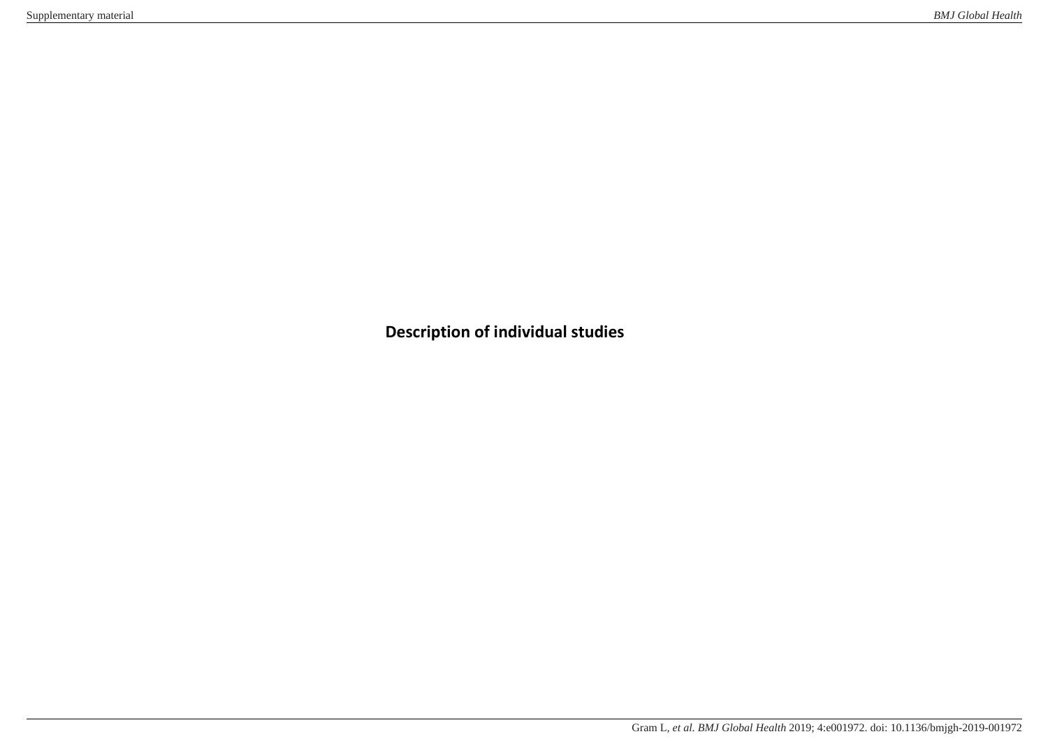**Description of individual studies**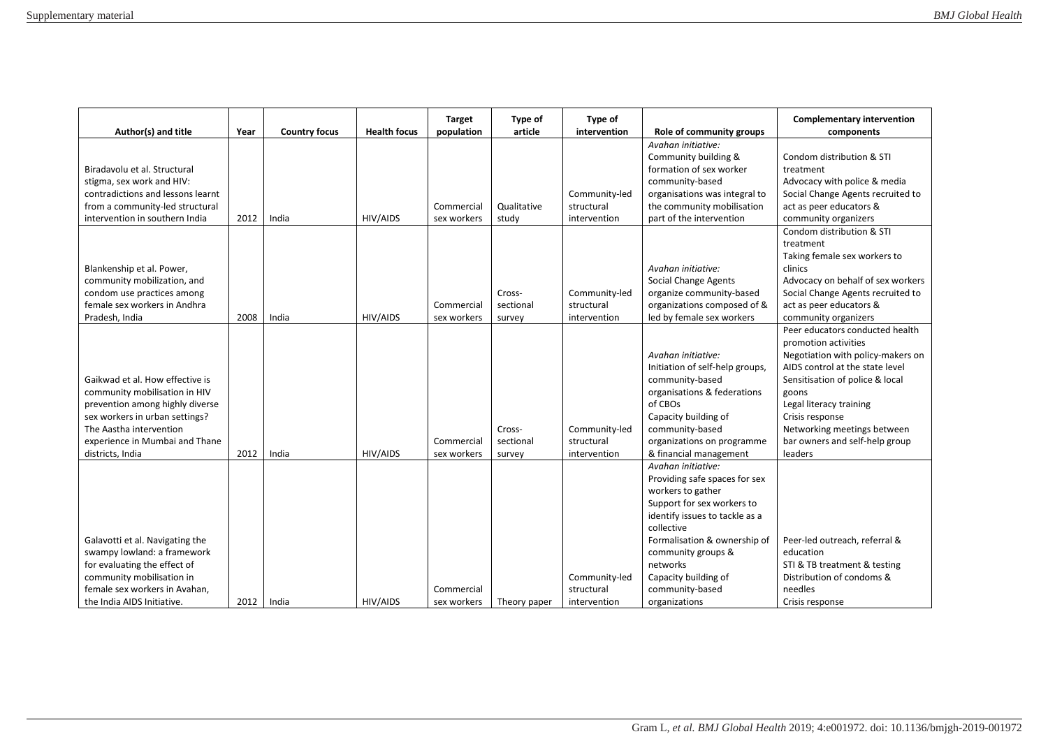| Author(s) and title                                                                                                                                                                                                    | Year | <b>Country focus</b> | <b>Health focus</b> | <b>Target</b><br>population | Type of<br>article            | Type of<br>intervention                     | Role of community groups                                                                                                                                                                                                                                                             | <b>Complementary intervention</b><br>components                                                                                                                                                                                                                                                       |
|------------------------------------------------------------------------------------------------------------------------------------------------------------------------------------------------------------------------|------|----------------------|---------------------|-----------------------------|-------------------------------|---------------------------------------------|--------------------------------------------------------------------------------------------------------------------------------------------------------------------------------------------------------------------------------------------------------------------------------------|-------------------------------------------------------------------------------------------------------------------------------------------------------------------------------------------------------------------------------------------------------------------------------------------------------|
| Biradavolu et al. Structural<br>stigma, sex work and HIV:<br>contradictions and lessons learnt<br>from a community-led structural<br>intervention in southern India                                                    | 2012 | India                | HIV/AIDS            | Commercial<br>sex workers   | Qualitative<br>study          | Community-led<br>structural<br>intervention | Avahan initiative:<br>Community building &<br>formation of sex worker<br>community-based<br>organisations was integral to<br>the community mobilisation<br>part of the intervention                                                                                                  | Condom distribution & STI<br>treatment<br>Advocacy with police & media<br>Social Change Agents recruited to<br>act as peer educators &<br>community organizers                                                                                                                                        |
| Blankenship et al. Power,<br>community mobilization, and<br>condom use practices among<br>female sex workers in Andhra<br>Pradesh, India                                                                               | 2008 | India                | HIV/AIDS            | Commercial<br>sex workers   | Cross-<br>sectional<br>survey | Community-led<br>structural<br>intervention | Avahan initiative:<br>Social Change Agents<br>organize community-based<br>organizations composed of &<br>led by female sex workers                                                                                                                                                   | Condom distribution & STI<br>treatment<br>Taking female sex workers to<br>clinics<br>Advocacy on behalf of sex workers<br>Social Change Agents recruited to<br>act as peer educators &<br>community organizers                                                                                        |
| Gaikwad et al. How effective is<br>community mobilisation in HIV<br>prevention among highly diverse<br>sex workers in urban settings?<br>The Aastha intervention<br>experience in Mumbai and Thane<br>districts, India | 2012 | India                | <b>HIV/AIDS</b>     | Commercial<br>sex workers   | Cross-<br>sectional<br>survey | Community-led<br>structural<br>intervention | Avahan initiative:<br>Initiation of self-help groups,<br>community-based<br>organisations & federations<br>of CBOs<br>Capacity building of<br>community-based<br>organizations on programme<br>& financial management                                                                | Peer educators conducted health<br>promotion activities<br>Negotiation with policy-makers on<br>AIDS control at the state level<br>Sensitisation of police & local<br>goons<br>Legal literacy training<br>Crisis response<br>Networking meetings between<br>bar owners and self-help group<br>leaders |
| Galavotti et al. Navigating the<br>swampy lowland: a framework<br>for evaluating the effect of<br>community mobilisation in<br>female sex workers in Avahan,<br>the India AIDS Initiative.                             | 2012 | India                | <b>HIV/AIDS</b>     | Commercial<br>sex workers   | Theory paper                  | Community-led<br>structural<br>intervention | Avahan initiative:<br>Providing safe spaces for sex<br>workers to gather<br>Support for sex workers to<br>identify issues to tackle as a<br>collective<br>Formalisation & ownership of<br>community groups &<br>networks<br>Capacity building of<br>community-based<br>organizations | Peer-led outreach, referral &<br>education<br>STI & TB treatment & testing<br>Distribution of condoms &<br>needles<br>Crisis response                                                                                                                                                                 |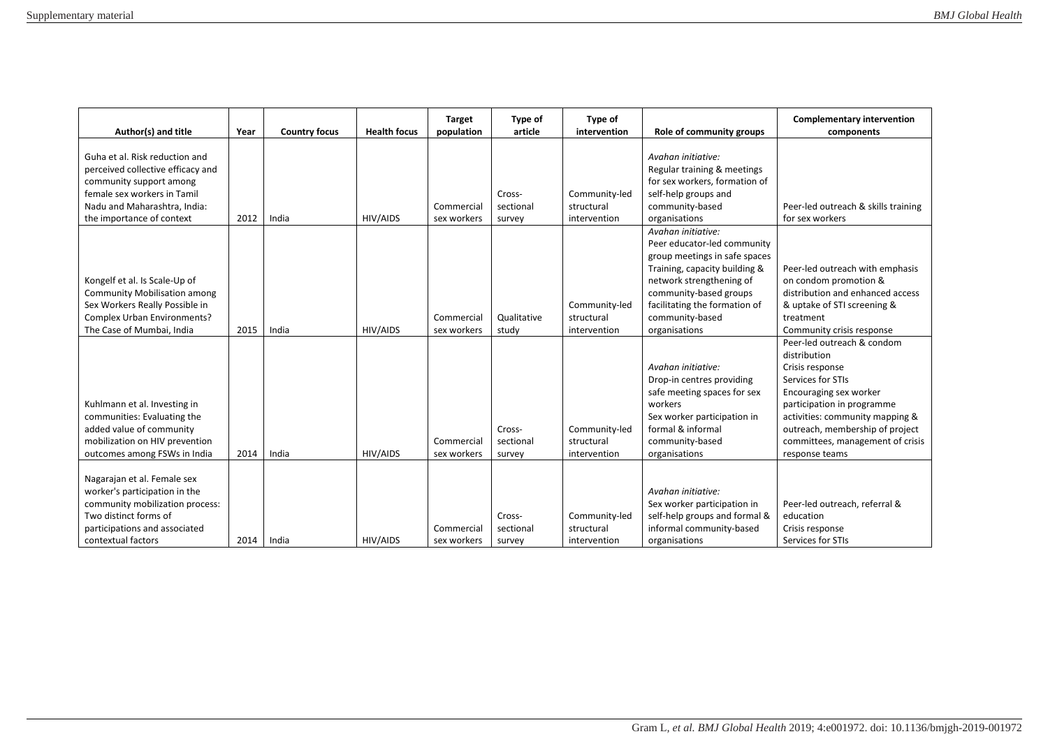| Author(s) and title                                                                                                                                                                        | Year | <b>Country focus</b> | <b>Health focus</b> | <b>Target</b><br>population | Type of<br>article            | Type of<br>intervention                     | Role of community groups                                                                                                                                                                                                                       | <b>Complementary intervention</b><br>components                                                                                                                                                                                                                        |
|--------------------------------------------------------------------------------------------------------------------------------------------------------------------------------------------|------|----------------------|---------------------|-----------------------------|-------------------------------|---------------------------------------------|------------------------------------------------------------------------------------------------------------------------------------------------------------------------------------------------------------------------------------------------|------------------------------------------------------------------------------------------------------------------------------------------------------------------------------------------------------------------------------------------------------------------------|
| Guha et al. Risk reduction and<br>perceived collective efficacy and<br>community support among<br>female sex workers in Tamil<br>Nadu and Maharashtra, India:<br>the importance of context | 2012 | India                | HIV/AIDS            | Commercial<br>sex workers   | Cross-<br>sectional<br>survey | Community-led<br>structural<br>intervention | Avahan initiative:<br>Regular training & meetings<br>for sex workers, formation of<br>self-help groups and<br>community-based<br>organisations                                                                                                 | Peer-led outreach & skills training<br>for sex workers                                                                                                                                                                                                                 |
| Kongelf et al. Is Scale-Up of<br><b>Community Mobilisation among</b><br>Sex Workers Really Possible in<br><b>Complex Urban Environments?</b><br>The Case of Mumbai, India                  | 2015 | India                | HIV/AIDS            | Commercial<br>sex workers   | Qualitative<br>study          | Community-led<br>structural<br>intervention | Avahan initiative:<br>Peer educator-led community<br>group meetings in safe spaces<br>Training, capacity building &<br>network strengthening of<br>community-based groups<br>facilitating the formation of<br>community-based<br>organisations | Peer-led outreach with emphasis<br>on condom promotion &<br>distribution and enhanced access<br>& uptake of STI screening &<br>treatment<br>Community crisis response                                                                                                  |
| Kuhlmann et al. Investing in<br>communities: Evaluating the<br>added value of community<br>mobilization on HIV prevention<br>outcomes among FSWs in India                                  | 2014 | India                | HIV/AIDS            | Commercial<br>sex workers   | Cross-<br>sectional<br>survey | Community-led<br>structural<br>intervention | Avahan initiative:<br>Drop-in centres providing<br>safe meeting spaces for sex<br>workers<br>Sex worker participation in<br>formal & informal<br>community-based<br>organisations                                                              | Peer-led outreach & condom<br>distribution<br>Crisis response<br>Services for STIs<br>Encouraging sex worker<br>participation in programme<br>activities: community mapping &<br>outreach, membership of project<br>committees, management of crisis<br>response teams |
| Nagarajan et al. Female sex<br>worker's participation in the<br>community mobilization process:<br>Two distinct forms of<br>participations and associated<br>contextual factors            | 2014 | India                | HIV/AIDS            | Commercial<br>sex workers   | Cross-<br>sectional<br>survey | Community-led<br>structural<br>intervention | Avahan initiative:<br>Sex worker participation in<br>self-help groups and formal &<br>informal community-based<br>organisations                                                                                                                | Peer-led outreach, referral &<br>education<br>Crisis response<br>Services for STIs                                                                                                                                                                                     |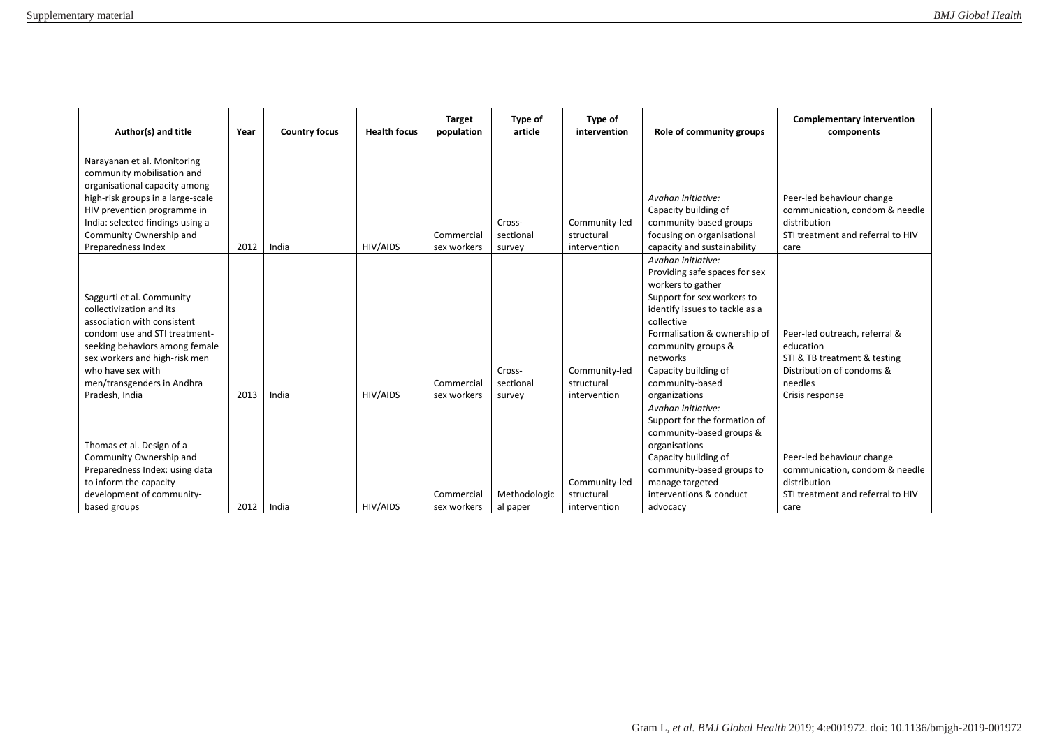| Author(s) and title                                                                                                                                                                                                                                           | Year | <b>Country focus</b> | <b>Health focus</b> | <b>Target</b><br>population | Type of<br>article            | Type of<br>intervention                     | Role of community groups                                                                                                                                                                                                                                                             | <b>Complementary intervention</b><br>components                                                                                       |
|---------------------------------------------------------------------------------------------------------------------------------------------------------------------------------------------------------------------------------------------------------------|------|----------------------|---------------------|-----------------------------|-------------------------------|---------------------------------------------|--------------------------------------------------------------------------------------------------------------------------------------------------------------------------------------------------------------------------------------------------------------------------------------|---------------------------------------------------------------------------------------------------------------------------------------|
| Narayanan et al. Monitoring<br>community mobilisation and<br>organisational capacity among<br>high-risk groups in a large-scale<br>HIV prevention programme in<br>India: selected findings using a<br>Community Ownership and<br>Preparedness Index           | 2012 | India                | HIV/AIDS            | Commercial<br>sex workers   | Cross-<br>sectional<br>survey | Community-led<br>structural<br>intervention | Avahan initiative:<br>Capacity building of<br>community-based groups<br>focusing on organisational<br>capacity and sustainability                                                                                                                                                    | Peer-led behaviour change<br>communication, condom & needle<br>distribution<br>STI treatment and referral to HIV<br>care              |
| Saggurti et al. Community<br>collectivization and its<br>association with consistent<br>condom use and STI treatment-<br>seeking behaviors among female<br>sex workers and high-risk men<br>who have sex with<br>men/transgenders in Andhra<br>Pradesh, India | 2013 | India                | HIV/AIDS            | Commercial<br>sex workers   | Cross-<br>sectional<br>survey | Community-led<br>structural<br>intervention | Avahan initiative:<br>Providing safe spaces for sex<br>workers to gather<br>Support for sex workers to<br>identify issues to tackle as a<br>collective<br>Formalisation & ownership of<br>community groups &<br>networks<br>Capacity building of<br>community-based<br>organizations | Peer-led outreach, referral &<br>education<br>STI & TB treatment & testing<br>Distribution of condoms &<br>needles<br>Crisis response |
| Thomas et al. Design of a<br>Community Ownership and<br>Preparedness Index: using data<br>to inform the capacity<br>development of community-<br>based groups                                                                                                 | 2012 | India                | HIV/AIDS            | Commercial<br>sex workers   | Methodologic<br>al paper      | Community-led<br>structural<br>intervention | Avahan initiative:<br>Support for the formation of<br>community-based groups &<br>organisations<br>Capacity building of<br>community-based groups to<br>manage targeted<br>interventions & conduct<br>advocacy                                                                       | Peer-led behaviour change<br>communication, condom & needle<br>distribution<br>STI treatment and referral to HIV<br>care              |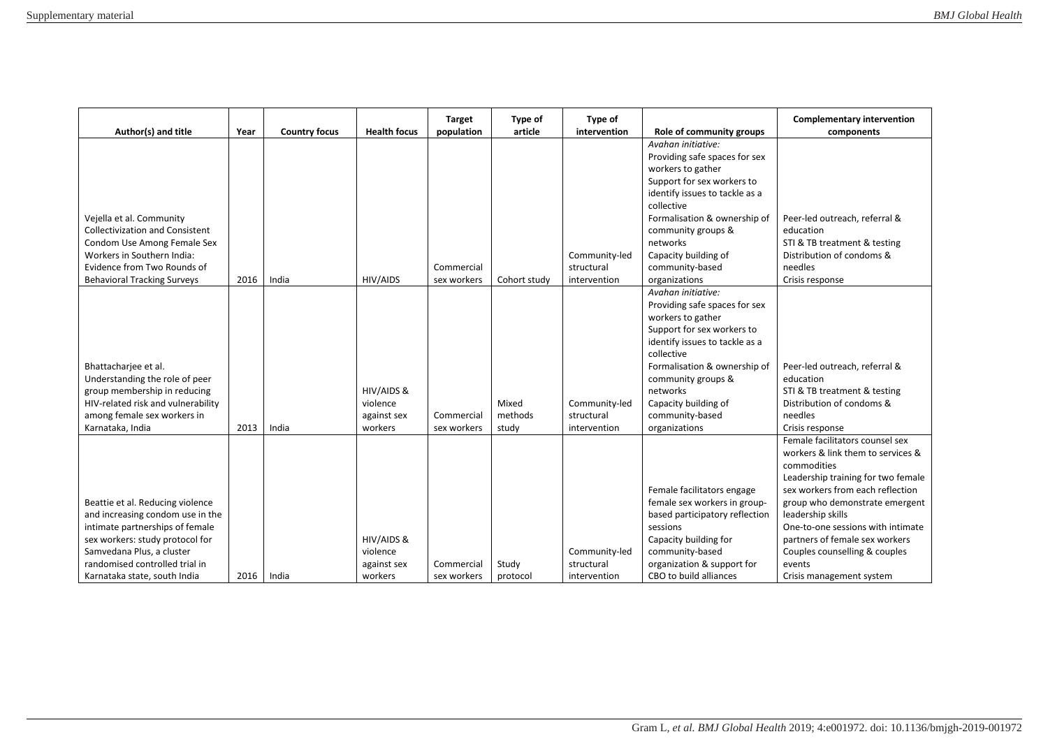| Author(s) and title                    | Year | <b>Country focus</b> | <b>Health focus</b> | <b>Target</b><br>population | Type of<br>article | Type of<br>intervention | Role of community groups                                   | <b>Complementary intervention</b><br>components                        |
|----------------------------------------|------|----------------------|---------------------|-----------------------------|--------------------|-------------------------|------------------------------------------------------------|------------------------------------------------------------------------|
|                                        |      |                      |                     |                             |                    |                         | Avahan initiative:                                         |                                                                        |
|                                        |      |                      |                     |                             |                    |                         | Providing safe spaces for sex                              |                                                                        |
|                                        |      |                      |                     |                             |                    |                         | workers to gather                                          |                                                                        |
|                                        |      |                      |                     |                             |                    |                         | Support for sex workers to                                 |                                                                        |
|                                        |      |                      |                     |                             |                    |                         | identify issues to tackle as a                             |                                                                        |
|                                        |      |                      |                     |                             |                    |                         | collective                                                 |                                                                        |
| Vejella et al. Community               |      |                      |                     |                             |                    |                         | Formalisation & ownership of                               | Peer-led outreach, referral &                                          |
| <b>Collectivization and Consistent</b> |      |                      |                     |                             |                    |                         | community groups &                                         | education                                                              |
| Condom Use Among Female Sex            |      |                      |                     |                             |                    |                         | networks                                                   | STI & TB treatment & testing                                           |
| Workers in Southern India:             |      |                      |                     |                             |                    | Community-led           | Capacity building of                                       | Distribution of condoms &                                              |
| Evidence from Two Rounds of            |      |                      |                     | Commercial                  |                    | structural              | community-based                                            | needles                                                                |
| <b>Behavioral Tracking Surveys</b>     | 2016 | India                | HIV/AIDS            | sex workers                 | Cohort study       | intervention            | organizations                                              | Crisis response                                                        |
|                                        |      |                      |                     |                             |                    |                         | Avahan initiative:                                         |                                                                        |
|                                        |      |                      |                     |                             |                    |                         | Providing safe spaces for sex                              |                                                                        |
|                                        |      |                      |                     |                             |                    |                         | workers to gather                                          |                                                                        |
|                                        |      |                      |                     |                             |                    |                         | Support for sex workers to                                 |                                                                        |
|                                        |      |                      |                     |                             |                    |                         | identify issues to tackle as a                             |                                                                        |
|                                        |      |                      |                     |                             |                    |                         | collective                                                 |                                                                        |
| Bhattacharjee et al.                   |      |                      |                     |                             |                    |                         | Formalisation & ownership of                               | Peer-led outreach, referral &                                          |
| Understanding the role of peer         |      |                      |                     |                             |                    |                         | community groups &                                         | education                                                              |
| group membership in reducing           |      |                      | HIV/AIDS &          |                             |                    |                         | networks                                                   | STI & TB treatment & testing                                           |
| HIV-related risk and vulnerability     |      |                      | violence            |                             | Mixed              | Community-led           | Capacity building of                                       | Distribution of condoms &                                              |
| among female sex workers in            |      |                      | against sex         | Commercial                  | methods            | structural              | community-based                                            | needles                                                                |
| Karnataka, India                       | 2013 | India                | workers             | sex workers                 | study              | intervention            | organizations                                              | Crisis response                                                        |
|                                        |      |                      |                     |                             |                    |                         |                                                            | Female facilitators counsel sex                                        |
|                                        |      |                      |                     |                             |                    |                         |                                                            | workers & link them to services &                                      |
|                                        |      |                      |                     |                             |                    |                         |                                                            | commodities                                                            |
|                                        |      |                      |                     |                             |                    |                         |                                                            | Leadership training for two female<br>sex workers from each reflection |
| Beattie et al. Reducing violence       |      |                      |                     |                             |                    |                         | Female facilitators engage<br>female sex workers in group- |                                                                        |
| and increasing condom use in the       |      |                      |                     |                             |                    |                         | based participatory reflection                             | group who demonstrate emergent<br>leadership skills                    |
| intimate partnerships of female        |      |                      |                     |                             |                    |                         | sessions                                                   | One-to-one sessions with intimate                                      |
| sex workers: study protocol for        |      |                      | HIV/AIDS &          |                             |                    |                         | Capacity building for                                      | partners of female sex workers                                         |
| Samvedana Plus, a cluster              |      |                      | violence            |                             |                    | Community-led           | community-based                                            | Couples counselling & couples                                          |
| randomised controlled trial in         |      |                      | against sex         | Commercial                  | Study              | structural              | organization & support for                                 | events                                                                 |
| Karnataka state, south India           | 2016 | India                | workers             | sex workers                 | protocol           | intervention            | CBO to build alliances                                     | Crisis management system                                               |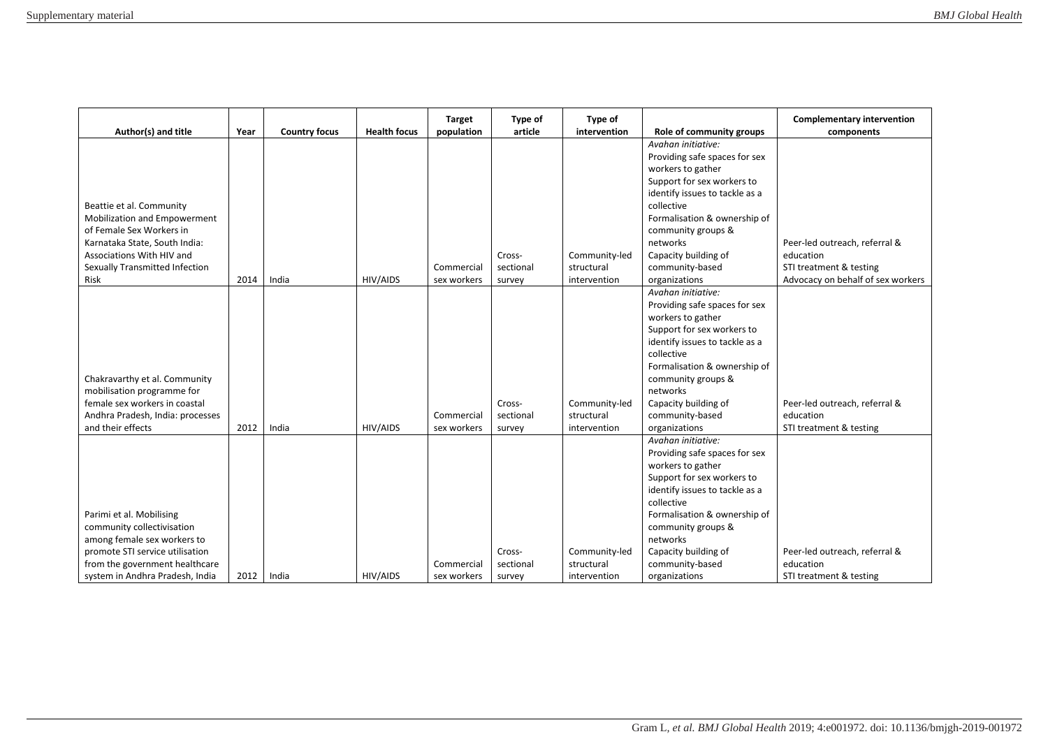|                                                            |      |                      |                     | <b>Target</b> | Type of   | Type of       |                                                    | <b>Complementary intervention</b> |
|------------------------------------------------------------|------|----------------------|---------------------|---------------|-----------|---------------|----------------------------------------------------|-----------------------------------|
| Author(s) and title                                        | Year | <b>Country focus</b> | <b>Health focus</b> | population    | article   | intervention  | Role of community groups                           | components                        |
|                                                            |      |                      |                     |               |           |               | Avahan initiative:                                 |                                   |
|                                                            |      |                      |                     |               |           |               | Providing safe spaces for sex                      |                                   |
|                                                            |      |                      |                     |               |           |               | workers to gather                                  |                                   |
|                                                            |      |                      |                     |               |           |               | Support for sex workers to                         |                                   |
|                                                            |      |                      |                     |               |           |               | identify issues to tackle as a<br>collective       |                                   |
| Beattie et al. Community                                   |      |                      |                     |               |           |               |                                                    |                                   |
| Mobilization and Empowerment                               |      |                      |                     |               |           |               | Formalisation & ownership of                       |                                   |
| of Female Sex Workers in                                   |      |                      |                     |               |           |               | community groups &<br>networks                     | Peer-led outreach, referral &     |
| Karnataka State, South India:<br>Associations With HIV and |      |                      |                     |               | Cross-    | Community-led | Capacity building of                               | education                         |
| Sexually Transmitted Infection                             |      |                      |                     | Commercial    | sectional | structural    | community-based                                    | STI treatment & testing           |
| Risk                                                       | 2014 | India                | HIV/AIDS            | sex workers   |           |               |                                                    | Advocacy on behalf of sex workers |
|                                                            |      |                      |                     |               | survey    | intervention  | organizations<br>Avahan initiative:                |                                   |
|                                                            |      |                      |                     |               |           |               |                                                    |                                   |
|                                                            |      |                      |                     |               |           |               | Providing safe spaces for sex<br>workers to gather |                                   |
|                                                            |      |                      |                     |               |           |               | Support for sex workers to                         |                                   |
|                                                            |      |                      |                     |               |           |               | identify issues to tackle as a                     |                                   |
|                                                            |      |                      |                     |               |           |               | collective                                         |                                   |
|                                                            |      |                      |                     |               |           |               | Formalisation & ownership of                       |                                   |
| Chakravarthy et al. Community                              |      |                      |                     |               |           |               | community groups &                                 |                                   |
| mobilisation programme for                                 |      |                      |                     |               |           |               | networks                                           |                                   |
| female sex workers in coastal                              |      |                      |                     |               | Cross-    | Community-led | Capacity building of                               | Peer-led outreach, referral &     |
| Andhra Pradesh, India: processes                           |      |                      |                     | Commercial    | sectional | structural    | community-based                                    | education                         |
| and their effects                                          | 2012 | India                | HIV/AIDS            | sex workers   | survey    | intervention  | organizations                                      | STI treatment & testing           |
|                                                            |      |                      |                     |               |           |               | Avahan initiative:                                 |                                   |
|                                                            |      |                      |                     |               |           |               | Providing safe spaces for sex                      |                                   |
|                                                            |      |                      |                     |               |           |               | workers to gather                                  |                                   |
|                                                            |      |                      |                     |               |           |               | Support for sex workers to                         |                                   |
|                                                            |      |                      |                     |               |           |               | identify issues to tackle as a                     |                                   |
|                                                            |      |                      |                     |               |           |               | collective                                         |                                   |
| Parimi et al. Mobilising                                   |      |                      |                     |               |           |               | Formalisation & ownership of                       |                                   |
| community collectivisation                                 |      |                      |                     |               |           |               | community groups &                                 |                                   |
| among female sex workers to                                |      |                      |                     |               |           |               | networks                                           |                                   |
| promote STI service utilisation                            |      |                      |                     |               | Cross-    | Community-led | Capacity building of                               | Peer-led outreach, referral &     |
| from the government healthcare                             |      |                      |                     | Commercial    | sectional | structural    | community-based                                    | education                         |
| system in Andhra Pradesh, India                            | 2012 | India                | HIV/AIDS            | sex workers   | survey    | intervention  | organizations                                      | STI treatment & testing           |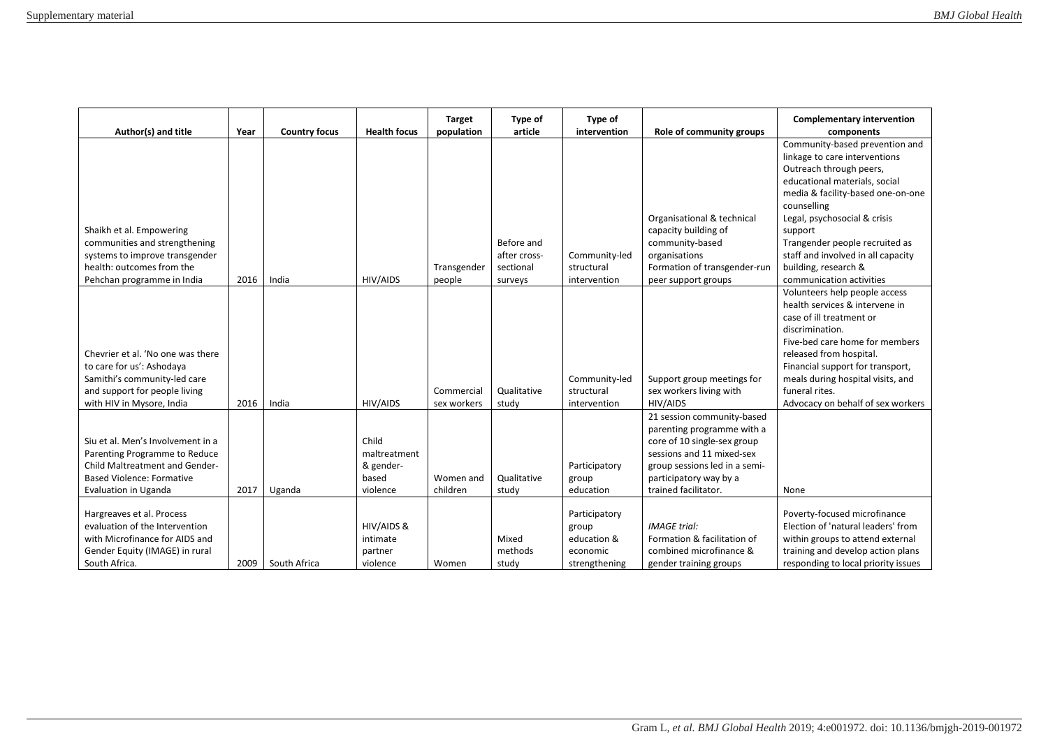| Author(s) and title                                                                                                                             | Year | <b>Country focus</b> | <b>Health focus</b>                         | <b>Target</b><br>population | Type of<br>article                      | Type of<br>intervention                           | Role of community groups                                                                                                                                                        | <b>Complementary intervention</b><br>components                                                                                                                                                                                                                                                                            |
|-------------------------------------------------------------------------------------------------------------------------------------------------|------|----------------------|---------------------------------------------|-----------------------------|-----------------------------------------|---------------------------------------------------|---------------------------------------------------------------------------------------------------------------------------------------------------------------------------------|----------------------------------------------------------------------------------------------------------------------------------------------------------------------------------------------------------------------------------------------------------------------------------------------------------------------------|
| Shaikh et al. Empowering<br>communities and strengthening<br>systems to improve transgender<br>health: outcomes from the                        |      |                      |                                             | Transgender                 | Before and<br>after cross-<br>sectional | Community-led<br>structural                       | Organisational & technical<br>capacity building of<br>community-based<br>organisations<br>Formation of transgender-run                                                          | Community-based prevention and<br>linkage to care interventions<br>Outreach through peers,<br>educational materials, social<br>media & facility-based one-on-one<br>counselling<br>Legal, psychosocial & crisis<br>support<br>Trangender people recruited as<br>staff and involved in all capacity<br>building, research & |
| Pehchan programme in India                                                                                                                      | 2016 | India                | <b>HIV/AIDS</b>                             | people                      | surveys                                 | intervention                                      | peer support groups                                                                                                                                                             | communication activities<br>Volunteers help people access                                                                                                                                                                                                                                                                  |
|                                                                                                                                                 |      |                      |                                             |                             |                                         |                                                   |                                                                                                                                                                                 | health services & intervene in<br>case of ill treatment or<br>discrimination.                                                                                                                                                                                                                                              |
| Chevrier et al. 'No one was there<br>to care for us': Ashodaya                                                                                  |      |                      |                                             |                             |                                         |                                                   |                                                                                                                                                                                 | Five-bed care home for members<br>released from hospital.<br>Financial support for transport,                                                                                                                                                                                                                              |
| Samithi's community-led care<br>and support for people living<br>with HIV in Mysore, India                                                      | 2016 | India                | HIV/AIDS                                    | Commercial<br>sex workers   | Qualitative<br>study                    | Community-led<br>structural<br>intervention       | Support group meetings for<br>sex workers living with<br>HIV/AIDS                                                                                                               | meals during hospital visits, and<br>funeral rites.<br>Advocacy on behalf of sex workers                                                                                                                                                                                                                                   |
| Siu et al. Men's Involvement in a<br>Parenting Programme to Reduce<br><b>Child Maltreatment and Gender-</b><br><b>Based Violence: Formative</b> |      |                      | Child<br>maltreatment<br>& gender-<br>based | Women and                   | Qualitative                             | Participatory<br>group                            | 21 session community-based<br>parenting programme with a<br>core of 10 single-sex group<br>sessions and 11 mixed-sex<br>group sessions led in a semi-<br>participatory way by a |                                                                                                                                                                                                                                                                                                                            |
| Evaluation in Uganda                                                                                                                            | 2017 | Uganda               | violence                                    | children                    | study                                   | education                                         | trained facilitator.                                                                                                                                                            | None                                                                                                                                                                                                                                                                                                                       |
| Hargreaves et al. Process<br>evaluation of the Intervention<br>with Microfinance for AIDS and<br>Gender Equity (IMAGE) in rural                 |      |                      | HIV/AIDS &<br>intimate<br>partner           |                             | Mixed<br>methods                        | Participatory<br>group<br>education &<br>economic | <b>IMAGE</b> trial:<br>Formation & facilitation of<br>combined microfinance &                                                                                                   | Poverty-focused microfinance<br>Election of 'natural leaders' from<br>within groups to attend external<br>training and develop action plans                                                                                                                                                                                |
| South Africa.                                                                                                                                   | 2009 | South Africa         | violence                                    | Women                       | study                                   | strengthening                                     | gender training groups                                                                                                                                                          | responding to local priority issues                                                                                                                                                                                                                                                                                        |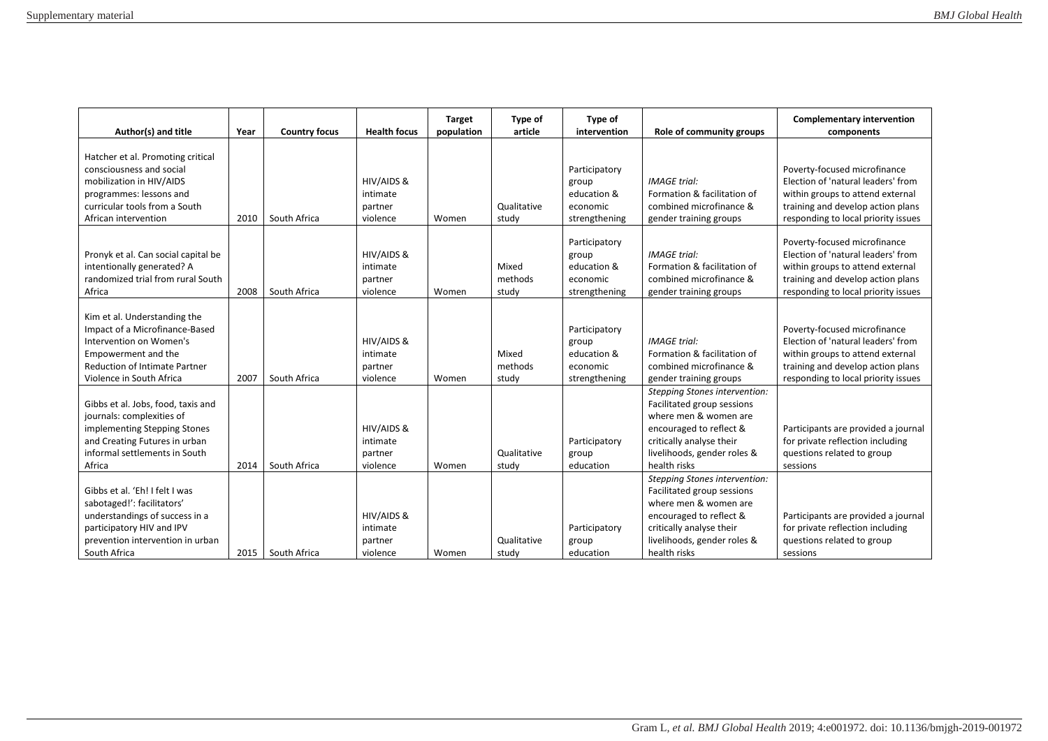| Author(s) and title                                                                                                                                                                  | Year | <b>Country focus</b> | <b>Health focus</b>                           | <b>Target</b><br>population | <b>Type of</b><br>article | Type of<br>intervention                                            | Role of community groups                                                                                                                                                                          | <b>Complementary intervention</b><br>components                                                                                                                                    |
|--------------------------------------------------------------------------------------------------------------------------------------------------------------------------------------|------|----------------------|-----------------------------------------------|-----------------------------|---------------------------|--------------------------------------------------------------------|---------------------------------------------------------------------------------------------------------------------------------------------------------------------------------------------------|------------------------------------------------------------------------------------------------------------------------------------------------------------------------------------|
| Hatcher et al. Promoting critical<br>consciousness and social<br>mobilization in HIV/AIDS<br>programmes: lessons and<br>curricular tools from a South<br>African intervention        | 2010 | South Africa         | HIV/AIDS &<br>intimate<br>partner<br>violence | Women                       | Qualitative<br>study      | Participatory<br>group<br>education &<br>economic<br>strengthening | <b>IMAGE</b> trial:<br>Formation & facilitation of<br>combined microfinance &<br>gender training groups                                                                                           | Poverty-focused microfinance<br>Election of 'natural leaders' from<br>within groups to attend external<br>training and develop action plans<br>responding to local priority issues |
| Pronyk et al. Can social capital be<br>intentionally generated? A<br>randomized trial from rural South<br>Africa                                                                     | 2008 | South Africa         | HIV/AIDS &<br>intimate<br>partner<br>violence | Women                       | Mixed<br>methods<br>study | Participatory<br>group<br>education &<br>economic<br>strengthening | <b>IMAGE</b> trial:<br>Formation & facilitation of<br>combined microfinance &<br>gender training groups                                                                                           | Poverty-focused microfinance<br>Election of 'natural leaders' from<br>within groups to attend external<br>training and develop action plans<br>responding to local priority issues |
| Kim et al. Understanding the<br>Impact of a Microfinance-Based<br>Intervention on Women's<br>Empowerment and the<br><b>Reduction of Intimate Partner</b><br>Violence in South Africa | 2007 | South Africa         | HIV/AIDS &<br>intimate<br>partner<br>violence | Women                       | Mixed<br>methods<br>study | Participatory<br>group<br>education &<br>economic<br>strengthening | <b>IMAGE trial:</b><br>Formation & facilitation of<br>combined microfinance &<br>gender training groups                                                                                           | Poverty-focused microfinance<br>Election of 'natural leaders' from<br>within groups to attend external<br>training and develop action plans<br>responding to local priority issues |
| Gibbs et al. Jobs, food, taxis and<br>journals: complexities of<br>implementing Stepping Stones<br>and Creating Futures in urban<br>informal settlements in South<br>Africa          | 2014 | South Africa         | HIV/AIDS &<br>intimate<br>partner<br>violence | Women                       | Qualitative<br>study      | Participatory<br>group<br>education                                | <b>Stepping Stones intervention:</b><br>Facilitated group sessions<br>where men & women are<br>encouraged to reflect &<br>critically analyse their<br>livelihoods, gender roles &<br>health risks | Participants are provided a journal<br>for private reflection including<br>questions related to group<br>sessions                                                                  |
| Gibbs et al. 'Eh! I felt I was<br>sabotaged!': facilitators'<br>understandings of success in a<br>participatory HIV and IPV<br>prevention intervention in urban<br>South Africa      | 2015 | South Africa         | HIV/AIDS &<br>intimate<br>partner<br>violence | Women                       | Qualitative<br>study      | Participatory<br>group<br>education                                | <b>Stepping Stones intervention:</b><br>Facilitated group sessions<br>where men & women are<br>encouraged to reflect &<br>critically analyse their<br>livelihoods, gender roles &<br>health risks | Participants are provided a journal<br>for private reflection including<br>questions related to group<br>sessions                                                                  |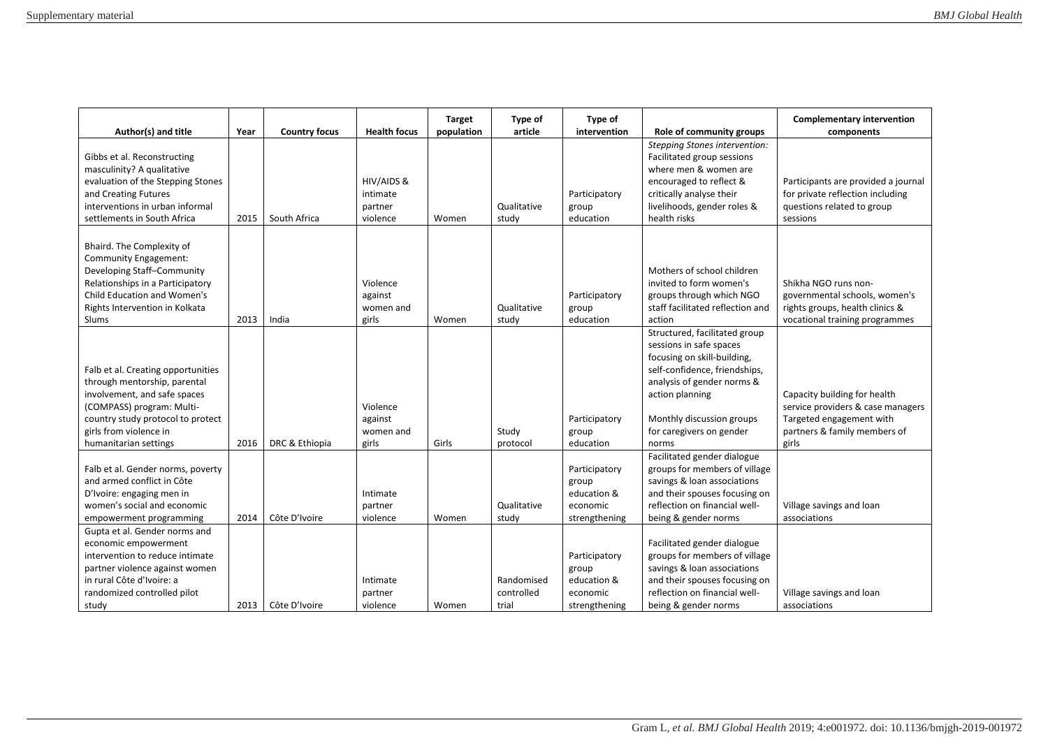| Author(s) and title                                                                                                                                                                                                     | Year | <b>Country focus</b> | <b>Health focus</b>                           | <b>Target</b><br>population | Type of<br>article                | Type of<br>intervention                                            | Role of community groups                                                                                                                                                                                                                    | <b>Complementary intervention</b><br>components                                                                                        |
|-------------------------------------------------------------------------------------------------------------------------------------------------------------------------------------------------------------------------|------|----------------------|-----------------------------------------------|-----------------------------|-----------------------------------|--------------------------------------------------------------------|---------------------------------------------------------------------------------------------------------------------------------------------------------------------------------------------------------------------------------------------|----------------------------------------------------------------------------------------------------------------------------------------|
| Gibbs et al. Reconstructing<br>masculinity? A qualitative<br>evaluation of the Stepping Stones<br>and Creating Futures<br>interventions in urban informal<br>settlements in South Africa                                | 2015 | South Africa         | HIV/AIDS &<br>intimate<br>partner<br>violence | Women                       | Qualitative<br>study              | Participatory<br>group<br>education                                | <b>Stepping Stones intervention:</b><br>Facilitated group sessions<br>where men & women are<br>encouraged to reflect &<br>critically analyse their<br>livelihoods, gender roles &<br>health risks                                           | Participants are provided a journal<br>for private reflection including<br>questions related to group<br>sessions                      |
| Bhaird. The Complexity of<br>Community Engagement:<br>Developing Staff-Community<br>Relationships in a Participatory<br>Child Education and Women's<br>Rights Intervention in Kolkata<br>Slums                          | 2013 | India                | Violence<br>against<br>women and<br>girls     | Women                       | Qualitative<br>study              | Participatory<br>group<br>education                                | Mothers of school children<br>invited to form women's<br>groups through which NGO<br>staff facilitated reflection and<br>action                                                                                                             | Shikha NGO runs non-<br>governmental schools, women's<br>rights groups, health clinics &<br>vocational training programmes             |
| Falb et al. Creating opportunities<br>through mentorship, parental<br>involvement, and safe spaces<br>(COMPASS) program: Multi-<br>country study protocol to protect<br>girls from violence in<br>humanitarian settings | 2016 | DRC & Ethiopia       | Violence<br>against<br>women and<br>girls     | Girls                       | Study<br>protocol                 | Participatory<br>group<br>education                                | Structured, facilitated group<br>sessions in safe spaces<br>focusing on skill-building,<br>self-confidence, friendships,<br>analysis of gender norms &<br>action planning<br>Monthly discussion groups<br>for caregivers on gender<br>norms | Capacity building for health<br>service providers & case managers<br>Targeted engagement with<br>partners & family members of<br>girls |
| Falb et al. Gender norms, poverty<br>and armed conflict in Côte<br>D'Ivoire: engaging men in<br>women's social and economic<br>empowerment programming                                                                  | 2014 | Côte D'Ivoire        | Intimate<br>partner<br>violence               | Women                       | Qualitative<br>study              | Participatory<br>group<br>education &<br>economic<br>strengthening | Facilitated gender dialogue<br>groups for members of village<br>savings & loan associations<br>and their spouses focusing on<br>reflection on financial well-<br>being & gender norms                                                       | Village savings and loan<br>associations                                                                                               |
| Gupta et al. Gender norms and<br>economic empowerment<br>intervention to reduce intimate<br>partner violence against women<br>in rural Côte d'Ivoire: a<br>randomized controlled pilot<br>study                         | 2013 | Côte D'Ivoire        | Intimate<br>partner<br>violence               | Women                       | Randomised<br>controlled<br>trial | Participatory<br>group<br>education &<br>economic<br>strengthening | Facilitated gender dialogue<br>groups for members of village<br>savings & loan associations<br>and their spouses focusing on<br>reflection on financial well-<br>being & gender norms                                                       | Village savings and loan<br>associations                                                                                               |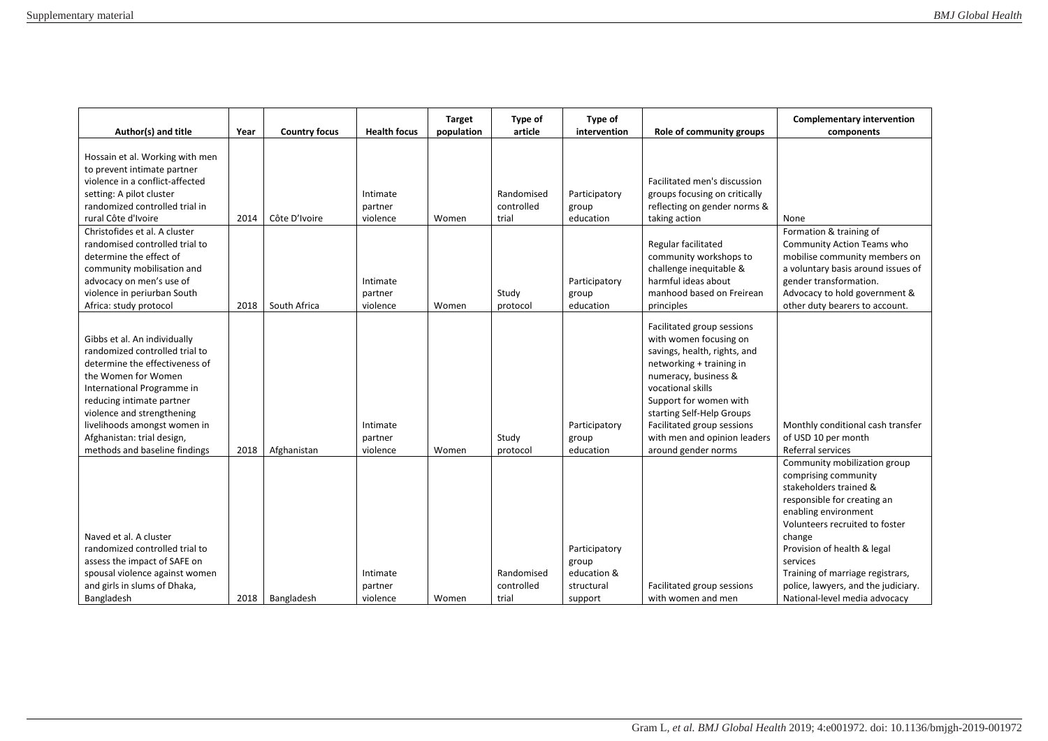| Author(s) and title                                                                                                                                                                                                                                                                                             | Year | <b>Country focus</b> | <b>Health focus</b>             | <b>Target</b><br>population | Type of<br>article                | Type of<br>intervention                                        | Role of community groups                                                                                                                                                                                                                                                                                  | <b>Complementary intervention</b><br>components                                                                                                                                                                                                                                                                                          |
|-----------------------------------------------------------------------------------------------------------------------------------------------------------------------------------------------------------------------------------------------------------------------------------------------------------------|------|----------------------|---------------------------------|-----------------------------|-----------------------------------|----------------------------------------------------------------|-----------------------------------------------------------------------------------------------------------------------------------------------------------------------------------------------------------------------------------------------------------------------------------------------------------|------------------------------------------------------------------------------------------------------------------------------------------------------------------------------------------------------------------------------------------------------------------------------------------------------------------------------------------|
| Hossain et al. Working with men<br>to prevent intimate partner<br>violence in a conflict-affected<br>setting: A pilot cluster<br>randomized controlled trial in<br>rural Côte d'Ivoire                                                                                                                          | 2014 | Côte D'Ivoire        | Intimate<br>partner<br>violence | Women                       | Randomised<br>controlled<br>trial | Participatory<br>group<br>education                            | Facilitated men's discussion<br>groups focusing on critically<br>reflecting on gender norms &<br>taking action                                                                                                                                                                                            | None                                                                                                                                                                                                                                                                                                                                     |
| Christofides et al. A cluster<br>randomised controlled trial to<br>determine the effect of<br>community mobilisation and<br>advocacy on men's use of<br>violence in periurban South<br>Africa: study protocol                                                                                                   | 2018 | South Africa         | Intimate<br>partner<br>violence | Women                       | Study<br>protocol                 | Participatory<br>group<br>education                            | Regular facilitated<br>community workshops to<br>challenge inequitable &<br>harmful ideas about<br>manhood based on Freirean<br>principles                                                                                                                                                                | Formation & training of<br>Community Action Teams who<br>mobilise community members on<br>a voluntary basis around issues of<br>gender transformation.<br>Advocacy to hold government &<br>other duty bearers to account.                                                                                                                |
| Gibbs et al. An individually<br>randomized controlled trial to<br>determine the effectiveness of<br>the Women for Women<br>International Programme in<br>reducing intimate partner<br>violence and strengthening<br>livelihoods amongst women in<br>Afghanistan: trial design,<br>methods and baseline findings | 2018 | Afghanistan          | Intimate<br>partner<br>violence | Women                       | Study<br>protocol                 | Participatory<br>group<br>education                            | Facilitated group sessions<br>with women focusing on<br>savings, health, rights, and<br>networking + training in<br>numeracy, business &<br>vocational skills<br>Support for women with<br>starting Self-Help Groups<br>Facilitated group sessions<br>with men and opinion leaders<br>around gender norms | Monthly conditional cash transfer<br>of USD 10 per month<br>Referral services                                                                                                                                                                                                                                                            |
| Naved et al. A cluster<br>randomized controlled trial to<br>assess the impact of SAFE on<br>spousal violence against women<br>and girls in slums of Dhaka,<br>Bangladesh                                                                                                                                        | 2018 | Bangladesh           | Intimate<br>partner<br>violence | Women                       | Randomised<br>controlled<br>trial | Participatory<br>group<br>education &<br>structural<br>support | Facilitated group sessions<br>with women and men                                                                                                                                                                                                                                                          | Community mobilization group<br>comprising community<br>stakeholders trained &<br>responsible for creating an<br>enabling environment<br>Volunteers recruited to foster<br>change<br>Provision of health & legal<br>services<br>Training of marriage registrars,<br>police, lawyers, and the judiciary.<br>National-level media advocacy |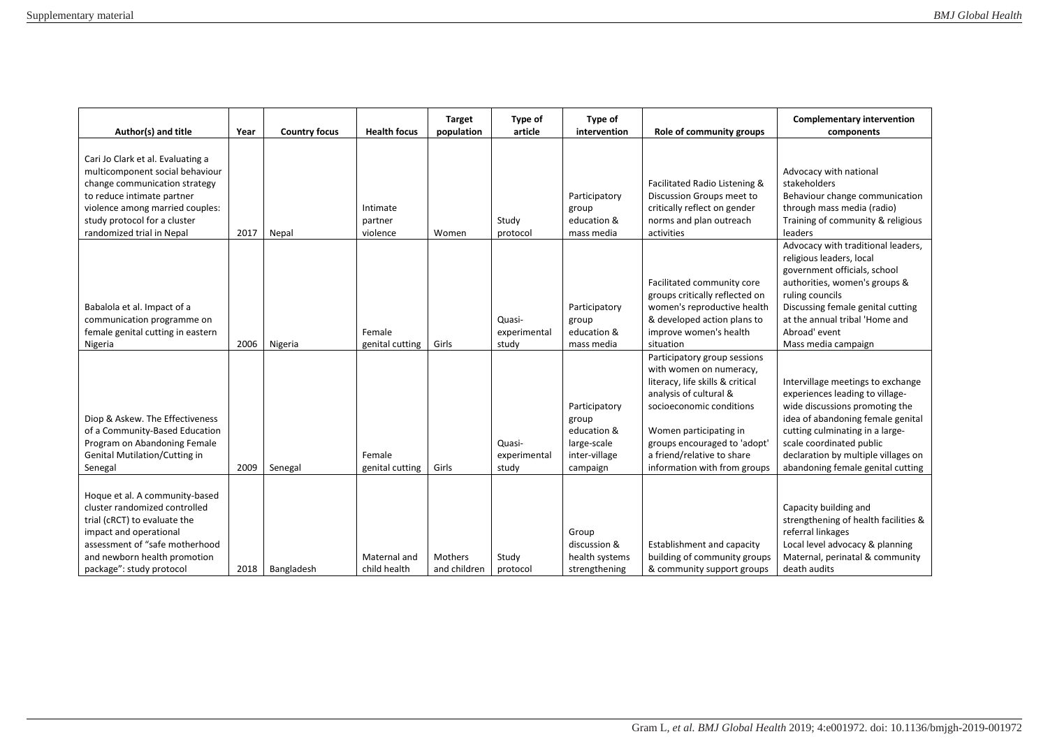| Author(s) and title                                                                                                                                                                                                                 | Year | <b>Country focus</b> | <b>Health focus</b>             | <b>Target</b><br>population | Type of<br>article              | Type of<br>intervention                                                           | Role of community groups                                                                                                                                                                                                                                                  | <b>Complementary intervention</b><br>components                                                                                                                                                                                                                                        |
|-------------------------------------------------------------------------------------------------------------------------------------------------------------------------------------------------------------------------------------|------|----------------------|---------------------------------|-----------------------------|---------------------------------|-----------------------------------------------------------------------------------|---------------------------------------------------------------------------------------------------------------------------------------------------------------------------------------------------------------------------------------------------------------------------|----------------------------------------------------------------------------------------------------------------------------------------------------------------------------------------------------------------------------------------------------------------------------------------|
| Cari Jo Clark et al. Evaluating a<br>multicomponent social behaviour<br>change communication strategy<br>to reduce intimate partner<br>violence among married couples:<br>study protocol for a cluster<br>randomized trial in Nepal | 2017 | Nepal                | Intimate<br>partner<br>violence | Women                       | Study<br>protocol               | Participatory<br>group<br>education &<br>mass media                               | Facilitated Radio Listening &<br>Discussion Groups meet to<br>critically reflect on gender<br>norms and plan outreach<br>activities                                                                                                                                       | Advocacy with national<br>stakeholders<br>Behaviour change communication<br>through mass media (radio)<br>Training of community & religious<br>leaders                                                                                                                                 |
| Babalola et al. Impact of a<br>communication programme on<br>female genital cutting in eastern<br>Nigeria                                                                                                                           | 2006 | Nigeria              | Female<br>genital cutting       | Girls                       | Quasi-<br>experimental<br>study | Participatory<br>group<br>education &<br>mass media                               | Facilitated community core<br>groups critically reflected on<br>women's reproductive health<br>& developed action plans to<br>improve women's health<br>situation                                                                                                         | Advocacy with traditional leaders,<br>religious leaders, local<br>government officials, school<br>authorities, women's groups &<br>ruling councils<br>Discussing female genital cutting<br>at the annual tribal 'Home and<br>Abroad' event<br>Mass media campaign                      |
| Diop & Askew. The Effectiveness<br>of a Community-Based Education<br>Program on Abandoning Female<br><b>Genital Mutilation/Cutting in</b><br>Senegal                                                                                | 2009 | Senegal              | Female<br>genital cutting       | Girls                       | Quasi-<br>experimental<br>study | Participatory<br>group<br>education &<br>large-scale<br>inter-village<br>campaign | Participatory group sessions<br>with women on numeracy,<br>literacy, life skills & critical<br>analysis of cultural &<br>socioeconomic conditions<br>Women participating in<br>groups encouraged to 'adopt'<br>a friend/relative to share<br>information with from groups | Intervillage meetings to exchange<br>experiences leading to village-<br>wide discussions promoting the<br>idea of abandoning female genital<br>cutting culminating in a large-<br>scale coordinated public<br>declaration by multiple villages on<br>abandoning female genital cutting |
| Hoque et al. A community-based<br>cluster randomized controlled<br>trial (cRCT) to evaluate the<br>impact and operational<br>assessment of "safe motherhood<br>and newborn health promotion<br>package": study protocol             | 2018 | Bangladesh           | Maternal and<br>child health    | Mothers<br>and children     | Study<br>protocol               | Group<br>discussion &<br>health systems<br>strengthening                          | Establishment and capacity<br>building of community groups<br>& community support groups                                                                                                                                                                                  | Capacity building and<br>strengthening of health facilities &<br>referral linkages<br>Local level advocacy & planning<br>Maternal, perinatal & community<br>death audits                                                                                                               |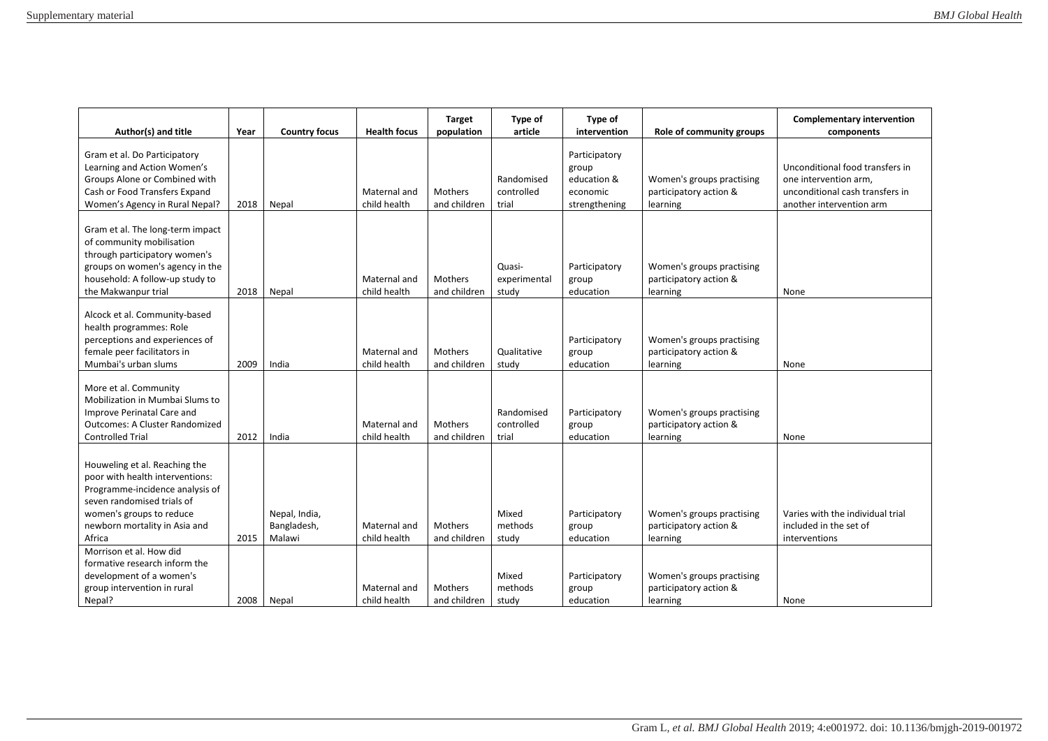| Author(s) and title                                                                                                                                                                                      | Year | <b>Country focus</b>                   | <b>Health focus</b>          | <b>Target</b><br>population    | Type of<br>article                | Type of<br>intervention                                            | Role of community groups                                        | <b>Complementary intervention</b><br>components                                                                         |
|----------------------------------------------------------------------------------------------------------------------------------------------------------------------------------------------------------|------|----------------------------------------|------------------------------|--------------------------------|-----------------------------------|--------------------------------------------------------------------|-----------------------------------------------------------------|-------------------------------------------------------------------------------------------------------------------------|
| Gram et al. Do Participatory<br>Learning and Action Women's<br>Groups Alone or Combined with<br>Cash or Food Transfers Expand<br>Women's Agency in Rural Nepal?                                          | 2018 | Nepal                                  | Maternal and<br>child health | Mothers<br>and children        | Randomised<br>controlled<br>trial | Participatory<br>group<br>education &<br>economic<br>strengthening | Women's groups practising<br>participatory action &<br>learning | Unconditional food transfers in<br>one intervention arm,<br>unconditional cash transfers in<br>another intervention arm |
| Gram et al. The long-term impact<br>of community mobilisation<br>through participatory women's<br>groups on women's agency in the<br>household: A follow-up study to<br>the Makwanpur trial              | 2018 | Nepal                                  | Maternal and<br>child health | <b>Mothers</b><br>and children | Quasi-<br>experimental<br>study   | Participatory<br>group<br>education                                | Women's groups practising<br>participatory action &<br>learning | None                                                                                                                    |
| Alcock et al. Community-based<br>health programmes: Role<br>perceptions and experiences of<br>female peer facilitators in<br>Mumbai's urban slums                                                        | 2009 | India                                  | Maternal and<br>child health | Mothers<br>and children        | Qualitative<br>study              | Participatory<br>group<br>education                                | Women's groups practising<br>participatory action &<br>learning | None                                                                                                                    |
| More et al. Community<br>Mobilization in Mumbai Slums to<br>Improve Perinatal Care and<br><b>Outcomes: A Cluster Randomized</b><br><b>Controlled Trial</b>                                               | 2012 | India                                  | Maternal and<br>child health | <b>Mothers</b><br>and children | Randomised<br>controlled<br>trial | Participatory<br>group<br>education                                | Women's groups practising<br>participatory action &<br>learning | None                                                                                                                    |
| Houweling et al. Reaching the<br>poor with health interventions:<br>Programme-incidence analysis of<br>seven randomised trials of<br>women's groups to reduce<br>newborn mortality in Asia and<br>Africa | 2015 | Nepal, India,<br>Bangladesh,<br>Malawi | Maternal and<br>child health | Mothers<br>and children        | Mixed<br>methods<br>study         | Participatory<br>group<br>education                                | Women's groups practising<br>participatory action &<br>learning | Varies with the individual trial<br>included in the set of<br>interventions                                             |
| Morrison et al. How did<br>formative research inform the<br>development of a women's<br>group intervention in rural<br>Nepal?                                                                            | 2008 | Nepal                                  | Maternal and<br>child health | Mothers<br>and children        | Mixed<br>methods<br>study         | Participatory<br>group<br>education                                | Women's groups practising<br>participatory action &<br>learning | None                                                                                                                    |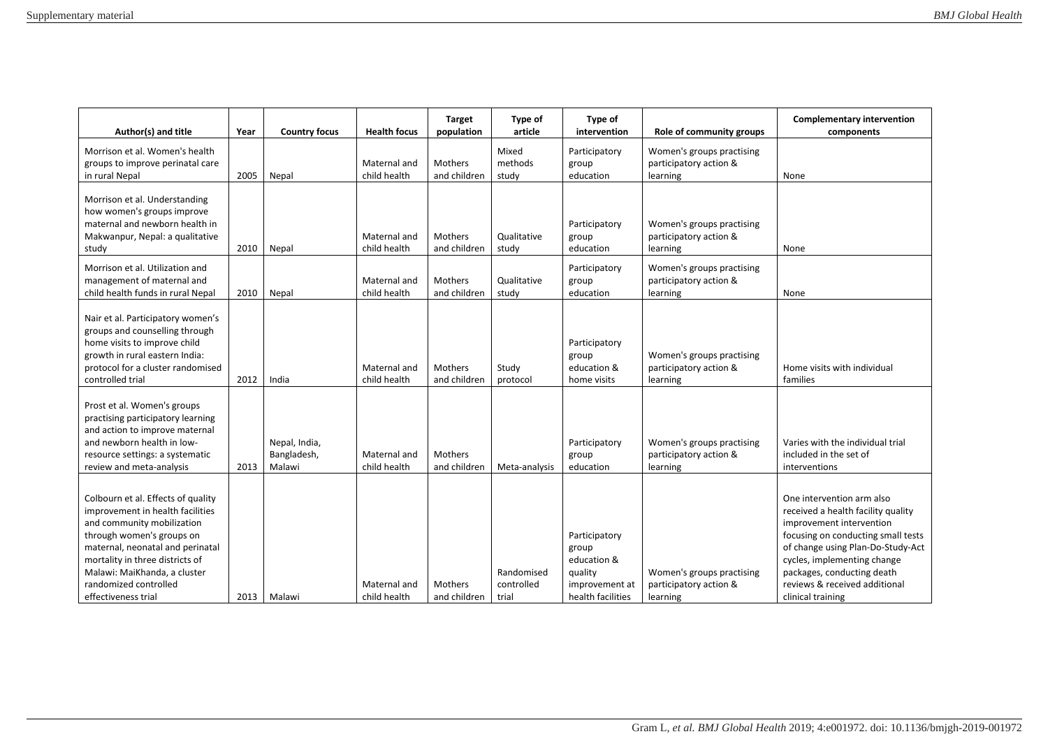| Author(s) and title                                                                                                                                                                                                                                                                      | Year | <b>Country focus</b>                   | <b>Health focus</b>          | <b>Target</b><br>population    | Type of<br>article                | Type of<br>intervention                                                                 | Role of community groups                                        | <b>Complementary intervention</b><br>components                                                                                                                                                                                                                                           |
|------------------------------------------------------------------------------------------------------------------------------------------------------------------------------------------------------------------------------------------------------------------------------------------|------|----------------------------------------|------------------------------|--------------------------------|-----------------------------------|-----------------------------------------------------------------------------------------|-----------------------------------------------------------------|-------------------------------------------------------------------------------------------------------------------------------------------------------------------------------------------------------------------------------------------------------------------------------------------|
| Morrison et al. Women's health<br>groups to improve perinatal care<br>in rural Nepal                                                                                                                                                                                                     | 2005 | Nepal                                  | Maternal and<br>child health | <b>Mothers</b><br>and children | Mixed<br>methods<br>study         | Participatory<br>group<br>education                                                     | Women's groups practising<br>participatory action &<br>learning | None                                                                                                                                                                                                                                                                                      |
| Morrison et al. Understanding<br>how women's groups improve<br>maternal and newborn health in<br>Makwanpur, Nepal: a qualitative<br>study                                                                                                                                                | 2010 | Nepal                                  | Maternal and<br>child health | <b>Mothers</b><br>and children | Qualitative<br>study              | Participatory<br>group<br>education                                                     | Women's groups practising<br>participatory action &<br>learning | None                                                                                                                                                                                                                                                                                      |
| Morrison et al. Utilization and<br>management of maternal and<br>child health funds in rural Nepal                                                                                                                                                                                       | 2010 | Nepal                                  | Maternal and<br>child health | Mothers<br>and children        | Qualitative<br>study              | Participatory<br>group<br>education                                                     | Women's groups practising<br>participatory action &<br>learning | None                                                                                                                                                                                                                                                                                      |
| Nair et al. Participatory women's<br>groups and counselling through<br>home visits to improve child<br>growth in rural eastern India:<br>protocol for a cluster randomised<br>controlled trial                                                                                           | 2012 | India                                  | Maternal and<br>child health | <b>Mothers</b><br>and children | Study<br>protocol                 | Participatory<br>group<br>education &<br>home visits                                    | Women's groups practising<br>participatory action &<br>learning | Home visits with individual<br>families                                                                                                                                                                                                                                                   |
| Prost et al. Women's groups<br>practising participatory learning<br>and action to improve maternal<br>and newborn health in low-<br>resource settings: a systematic<br>review and meta-analysis                                                                                          | 2013 | Nepal, India,<br>Bangladesh,<br>Malawi | Maternal and<br>child health | Mothers<br>and children        | Meta-analysis                     | Participatory<br>group<br>education                                                     | Women's groups practising<br>participatory action &<br>learning | Varies with the individual trial<br>included in the set of<br>interventions                                                                                                                                                                                                               |
| Colbourn et al. Effects of quality<br>improvement in health facilities<br>and community mobilization<br>through women's groups on<br>maternal, neonatal and perinatal<br>mortality in three districts of<br>Malawi: MaiKhanda, a cluster<br>randomized controlled<br>effectiveness trial | 2013 | Malawi                                 | Maternal and<br>child health | Mothers<br>and children        | Randomised<br>controlled<br>trial | Participatory<br>group<br>education &<br>quality<br>improvement at<br>health facilities | Women's groups practising<br>participatory action &<br>learning | One intervention arm also<br>received a health facility quality<br>improvement intervention<br>focusing on conducting small tests<br>of change using Plan-Do-Study-Act<br>cycles, implementing change<br>packages, conducting death<br>reviews & received additional<br>clinical training |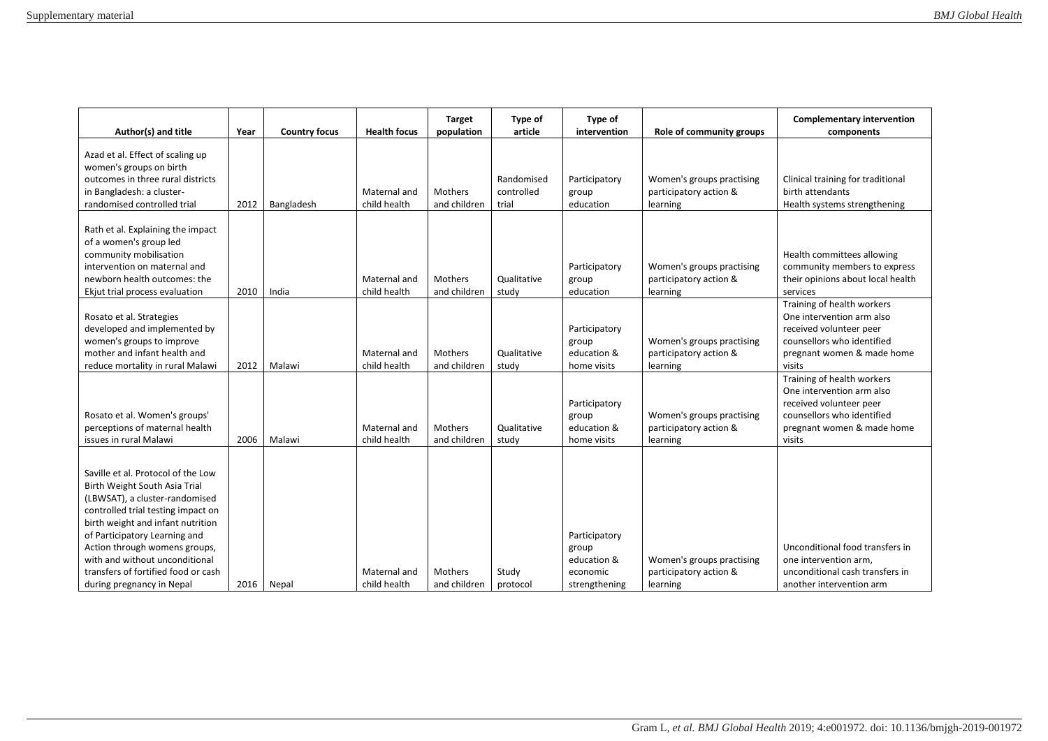| Author(s) and title                                                                                                                                                                                                                                                                                                                                      | Year | <b>Country focus</b> | <b>Health focus</b>          | <b>Target</b><br>population    | Type of<br>article                | Type of<br>intervention                                            | Role of community groups                                        | <b>Complementary intervention</b><br>components                                                                                                          |
|----------------------------------------------------------------------------------------------------------------------------------------------------------------------------------------------------------------------------------------------------------------------------------------------------------------------------------------------------------|------|----------------------|------------------------------|--------------------------------|-----------------------------------|--------------------------------------------------------------------|-----------------------------------------------------------------|----------------------------------------------------------------------------------------------------------------------------------------------------------|
| Azad et al. Effect of scaling up<br>women's groups on birth<br>outcomes in three rural districts<br>in Bangladesh: a cluster-<br>randomised controlled trial                                                                                                                                                                                             | 2012 | Bangladesh           | Maternal and<br>child health | <b>Mothers</b><br>and children | Randomised<br>controlled<br>trial | Participatory<br>group<br>education                                | Women's groups practising<br>participatory action &<br>learning | Clinical training for traditional<br>birth attendants<br>Health systems strengthening                                                                    |
| Rath et al. Explaining the impact<br>of a women's group led<br>community mobilisation<br>intervention on maternal and<br>newborn health outcomes: the<br>Ekjut trial process evaluation                                                                                                                                                                  | 2010 | India                | Maternal and<br>child health | <b>Mothers</b><br>and children | Qualitative<br>study              | Participatory<br>group<br>education                                | Women's groups practising<br>participatory action &<br>learning | Health committees allowing<br>community members to express<br>their opinions about local health<br>services                                              |
| Rosato et al. Strategies<br>developed and implemented by<br>women's groups to improve<br>mother and infant health and<br>reduce mortality in rural Malawi                                                                                                                                                                                                | 2012 | Malawi               | Maternal and<br>child health | <b>Mothers</b><br>and children | Qualitative<br>study              | Participatory<br>group<br>education &<br>home visits               | Women's groups practising<br>participatory action &<br>learning | Training of health workers<br>One intervention arm also<br>received volunteer peer<br>counsellors who identified<br>pregnant women & made home<br>visits |
| Rosato et al. Women's groups'<br>perceptions of maternal health<br>issues in rural Malawi                                                                                                                                                                                                                                                                | 2006 | Malawi               | Maternal and<br>child health | <b>Mothers</b><br>and children | Qualitative<br>study              | Participatory<br>group<br>education &<br>home visits               | Women's groups practising<br>participatory action &<br>learning | Training of health workers<br>One intervention arm also<br>received volunteer peer<br>counsellors who identified<br>pregnant women & made home<br>visits |
| Saville et al. Protocol of the Low<br>Birth Weight South Asia Trial<br>(LBWSAT), a cluster-randomised<br>controlled trial testing impact on<br>birth weight and infant nutrition<br>of Participatory Learning and<br>Action through womens groups,<br>with and without unconditional<br>transfers of fortified food or cash<br>during pregnancy in Nepal | 2016 | Nepal                | Maternal and<br>child health | Mothers<br>and children        | Study<br>protocol                 | Participatory<br>group<br>education &<br>economic<br>strengthening | Women's groups practising<br>participatory action &<br>learning | Unconditional food transfers in<br>one intervention arm,<br>unconditional cash transfers in<br>another intervention arm                                  |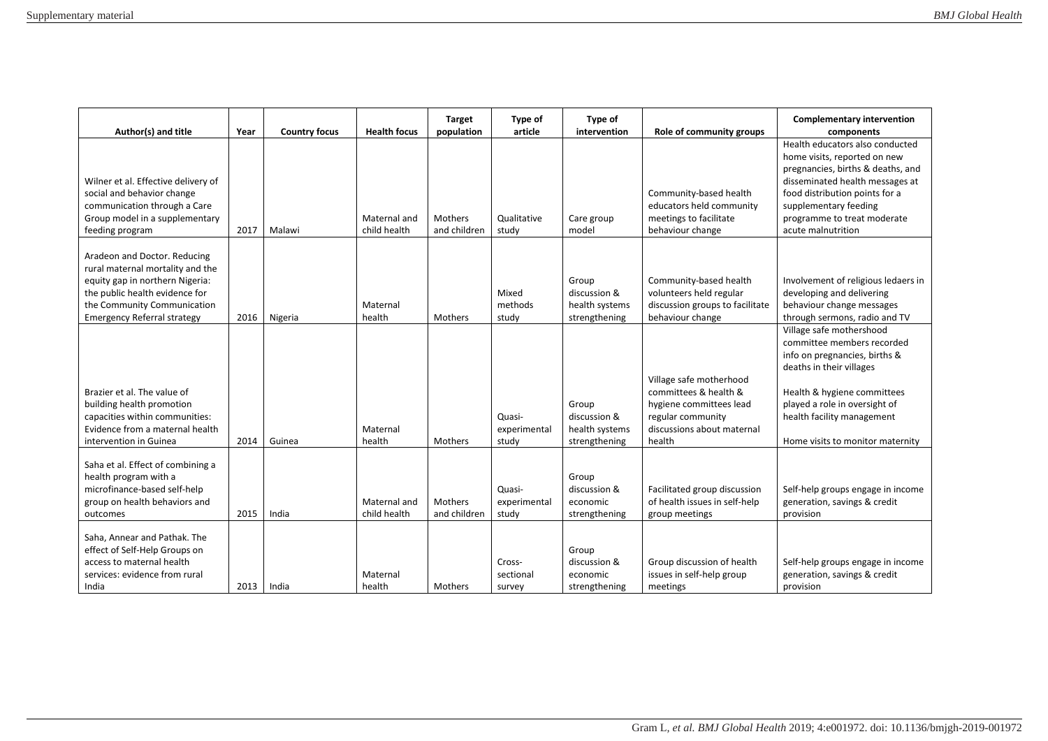| Author(s) and title                                                                                                                                                                                        | Year | <b>Country focus</b> | <b>Health focus</b>          | <b>Target</b><br>population | Type of<br>article              | Type of<br>intervention                                  | Role of community groups                                                                                                                 | <b>Complementary intervention</b><br>components                                                                                                                                                                                                         |
|------------------------------------------------------------------------------------------------------------------------------------------------------------------------------------------------------------|------|----------------------|------------------------------|-----------------------------|---------------------------------|----------------------------------------------------------|------------------------------------------------------------------------------------------------------------------------------------------|---------------------------------------------------------------------------------------------------------------------------------------------------------------------------------------------------------------------------------------------------------|
| Wilner et al. Effective delivery of<br>social and behavior change<br>communication through a Care<br>Group model in a supplementary<br>feeding program                                                     | 2017 | Malawi               | Maternal and<br>child health | Mothers<br>and children     | Qualitative<br>study            | Care group<br>model                                      | Community-based health<br>educators held community<br>meetings to facilitate<br>behaviour change                                         | Health educators also conducted<br>home visits, reported on new<br>pregnancies, births & deaths, and<br>disseminated health messages at<br>food distribution points for a<br>supplementary feeding<br>programme to treat moderate<br>acute malnutrition |
| Aradeon and Doctor. Reducing<br>rural maternal mortality and the<br>equity gap in northern Nigeria:<br>the public health evidence for<br>the Community Communication<br><b>Emergency Referral strategy</b> | 2016 | Nigeria              | Maternal<br>health           | Mothers                     | Mixed<br>methods<br>study       | Group<br>discussion &<br>health systems<br>strengthening | Community-based health<br>volunteers held regular<br>discussion groups to facilitate<br>behaviour change                                 | Involvement of religious ledaers in<br>developing and delivering<br>behaviour change messages<br>through sermons, radio and TV                                                                                                                          |
| Brazier et al. The value of<br>building health promotion<br>capacities within communities:<br>Evidence from a maternal health<br>intervention in Guinea                                                    | 2014 | Guinea               | Maternal<br>health           | <b>Mothers</b>              | Quasi-<br>experimental<br>study | Group<br>discussion &<br>health systems<br>strengthening | Village safe motherhood<br>committees & health &<br>hygiene committees lead<br>regular community<br>discussions about maternal<br>health | Village safe mothershood<br>committee members recorded<br>info on pregnancies, births &<br>deaths in their villages<br>Health & hygiene committees<br>played a role in oversight of<br>health facility management<br>Home visits to monitor maternity   |
| Saha et al. Effect of combining a<br>health program with a<br>microfinance-based self-help<br>group on health behaviors and<br>outcomes                                                                    | 2015 | India                | Maternal and<br>child health | Mothers<br>and children     | Quasi-<br>experimental<br>study | Group<br>discussion &<br>economic<br>strengthening       | Facilitated group discussion<br>of health issues in self-help<br>group meetings                                                          | Self-help groups engage in income<br>generation, savings & credit<br>provision                                                                                                                                                                          |
| Saha, Annear and Pathak. The<br>effect of Self-Help Groups on<br>access to maternal health<br>services: evidence from rural<br>India                                                                       | 2013 | India                | Maternal<br>health           | Mothers                     | Cross-<br>sectional<br>survey   | Group<br>discussion &<br>economic<br>strengthening       | Group discussion of health<br>issues in self-help group<br>meetings                                                                      | Self-help groups engage in income<br>generation, savings & credit<br>provision                                                                                                                                                                          |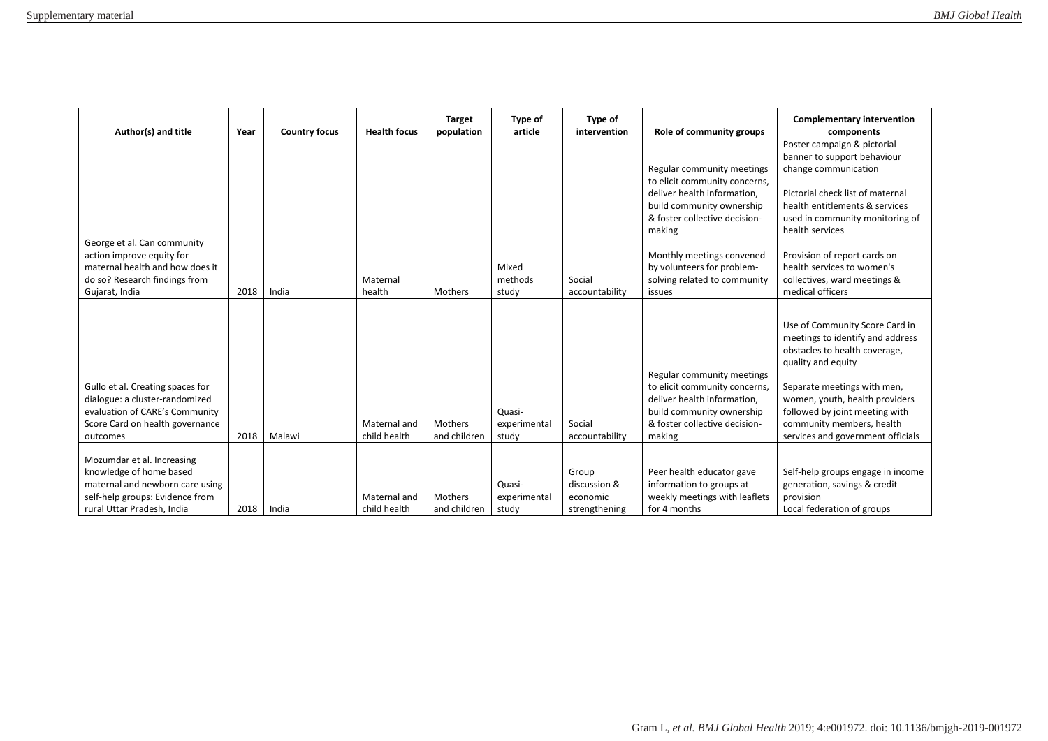| Author(s) and title                                                                                                                                       | Year | <b>Country focus</b> | <b>Health focus</b>          | <b>Target</b><br>population | Type of<br>article              | Type of<br>intervention                            | Role of community groups                                                                                                                                                                                                                                                | <b>Complementary intervention</b><br>components                                                                                                                                                                                                                                                                                  |
|-----------------------------------------------------------------------------------------------------------------------------------------------------------|------|----------------------|------------------------------|-----------------------------|---------------------------------|----------------------------------------------------|-------------------------------------------------------------------------------------------------------------------------------------------------------------------------------------------------------------------------------------------------------------------------|----------------------------------------------------------------------------------------------------------------------------------------------------------------------------------------------------------------------------------------------------------------------------------------------------------------------------------|
| George et al. Can community<br>action improve equity for<br>maternal health and how does it<br>do so? Research findings from<br>Gujarat, India            | 2018 | India                | Maternal<br>health           | Mothers                     | Mixed<br>methods<br>study       | Social<br>accountability                           | Regular community meetings<br>to elicit community concerns,<br>deliver health information,<br>build community ownership<br>& foster collective decision-<br>making<br>Monthly meetings convened<br>by volunteers for problem-<br>solving related to community<br>issues | Poster campaign & pictorial<br>banner to support behaviour<br>change communication<br>Pictorial check list of maternal<br>health entitlements & services<br>used in community monitoring of<br>health services<br>Provision of report cards on<br>health services to women's<br>collectives, ward meetings &<br>medical officers |
| Gullo et al. Creating spaces for<br>dialogue: a cluster-randomized<br>evaluation of CARE's Community<br>Score Card on health governance<br>outcomes       | 2018 | Malawi               | Maternal and<br>child health | Mothers<br>and children     | Quasi-<br>experimental<br>study | Social<br>accountability                           | Regular community meetings<br>to elicit community concerns,<br>deliver health information,<br>build community ownership<br>& foster collective decision-<br>making                                                                                                      | Use of Community Score Card in<br>meetings to identify and address<br>obstacles to health coverage,<br>quality and equity<br>Separate meetings with men,<br>women, youth, health providers<br>followed by joint meeting with<br>community members, health<br>services and government officials                                   |
| Mozumdar et al. Increasing<br>knowledge of home based<br>maternal and newborn care using<br>self-help groups: Evidence from<br>rural Uttar Pradesh, India | 2018 | India                | Maternal and<br>child health | Mothers<br>and children     | Quasi-<br>experimental<br>study | Group<br>discussion &<br>economic<br>strengthening | Peer health educator gave<br>information to groups at<br>weekly meetings with leaflets<br>for 4 months                                                                                                                                                                  | Self-help groups engage in income<br>generation, savings & credit<br>provision<br>Local federation of groups                                                                                                                                                                                                                     |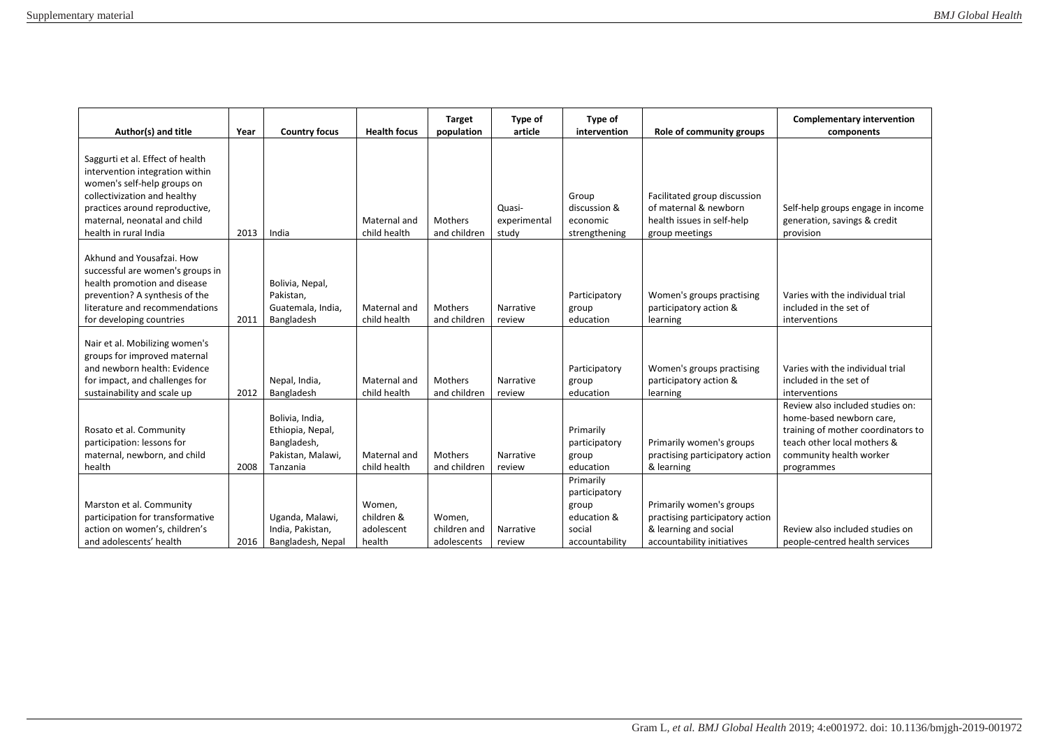| Author(s) and title                                                                                                                                                                                                           | Year | <b>Country focus</b>                                                                | <b>Health focus</b>                          | <b>Target</b><br>population           | Type of<br>article              | Type of<br>intervention                                                        | Role of community groups                                                                                           | <b>Complementary intervention</b><br>components                                                                                                                            |
|-------------------------------------------------------------------------------------------------------------------------------------------------------------------------------------------------------------------------------|------|-------------------------------------------------------------------------------------|----------------------------------------------|---------------------------------------|---------------------------------|--------------------------------------------------------------------------------|--------------------------------------------------------------------------------------------------------------------|----------------------------------------------------------------------------------------------------------------------------------------------------------------------------|
| Saggurti et al. Effect of health<br>intervention integration within<br>women's self-help groups on<br>collectivization and healthy<br>practices around reproductive,<br>maternal, neonatal and child<br>health in rural India | 2013 | India                                                                               | Maternal and<br>child health                 | Mothers<br>and children               | Quasi-<br>experimental<br>study | Group<br>discussion &<br>economic<br>strengthening                             | Facilitated group discussion<br>of maternal & newborn<br>health issues in self-help<br>group meetings              | Self-help groups engage in income<br>generation, savings & credit<br>provision                                                                                             |
| Akhund and Yousafzai. How<br>successful are women's groups in<br>health promotion and disease<br>prevention? A synthesis of the<br>literature and recommendations<br>for developing countries                                 | 2011 | Bolivia, Nepal,<br>Pakistan,<br>Guatemala, India,<br>Bangladesh                     | Maternal and<br>child health                 | Mothers<br>and children               | Narrative<br>review             | Participatory<br>group<br>education                                            | Women's groups practising<br>participatory action &<br>learning                                                    | Varies with the individual trial<br>included in the set of<br>interventions                                                                                                |
| Nair et al. Mobilizing women's<br>groups for improved maternal<br>and newborn health: Evidence<br>for impact, and challenges for<br>sustainability and scale up                                                               | 2012 | Nepal, India,<br>Bangladesh                                                         | Maternal and<br>child health                 | Mothers<br>and children               | Narrative<br>review             | Participatory<br>group<br>education                                            | Women's groups practising<br>participatory action &<br>learning                                                    | Varies with the individual trial<br>included in the set of<br>interventions                                                                                                |
| Rosato et al. Community<br>participation: lessons for<br>maternal, newborn, and child<br>health                                                                                                                               | 2008 | Bolivia, India,<br>Ethiopia, Nepal,<br>Bangladesh,<br>Pakistan, Malawi,<br>Tanzania | Maternal and<br>child health                 | Mothers<br>and children               | Narrative<br>review             | Primarily<br>participatory<br>group<br>education                               | Primarily women's groups<br>practising participatory action<br>& learning                                          | Review also included studies on:<br>home-based newborn care,<br>training of mother coordinators to<br>teach other local mothers &<br>community health worker<br>programmes |
| Marston et al. Community<br>participation for transformative<br>action on women's, children's<br>and adolescents' health                                                                                                      | 2016 | Uganda, Malawi,<br>India, Pakistan,<br>Bangladesh, Nepal                            | Women,<br>children &<br>adolescent<br>health | Women,<br>children and<br>adolescents | Narrative<br>review             | Primarily<br>participatory<br>group<br>education &<br>social<br>accountability | Primarily women's groups<br>practising participatory action<br>& learning and social<br>accountability initiatives | Review also included studies on<br>people-centred health services                                                                                                          |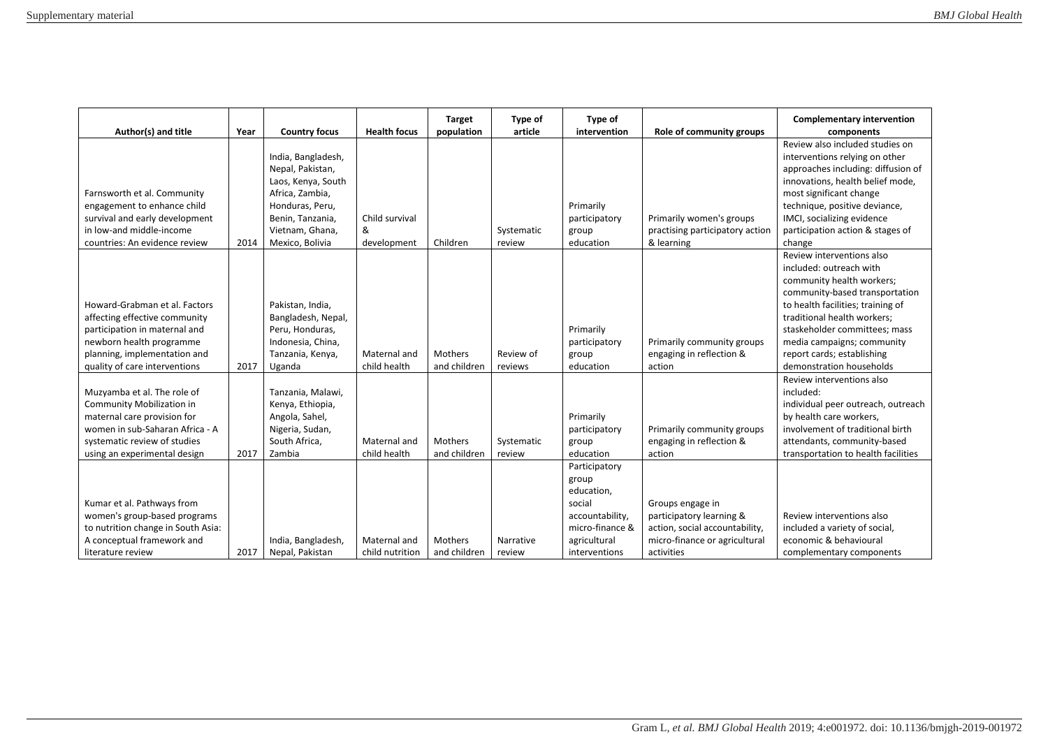| Author(s) and title                                                                                                                                                                               | Year | <b>Country focus</b>                                                                                                                                         | <b>Health focus</b>                | <b>Target</b><br>population | Type of<br>article   | Type of<br>intervention                                                                                               | Role of community groups                                                                                                      | <b>Complementary intervention</b><br>components                                                                                                                                                                                                                                                                  |
|---------------------------------------------------------------------------------------------------------------------------------------------------------------------------------------------------|------|--------------------------------------------------------------------------------------------------------------------------------------------------------------|------------------------------------|-----------------------------|----------------------|-----------------------------------------------------------------------------------------------------------------------|-------------------------------------------------------------------------------------------------------------------------------|------------------------------------------------------------------------------------------------------------------------------------------------------------------------------------------------------------------------------------------------------------------------------------------------------------------|
| Farnsworth et al. Community<br>engagement to enhance child<br>survival and early development<br>in low-and middle-income<br>countries: An evidence review                                         | 2014 | India, Bangladesh,<br>Nepal, Pakistan,<br>Laos, Kenya, South<br>Africa, Zambia,<br>Honduras, Peru,<br>Benin, Tanzania,<br>Vietnam, Ghana,<br>Mexico, Bolivia | Child survival<br>&<br>development | Children                    | Systematic<br>review | Primarily<br>participatory<br>group<br>education                                                                      | Primarily women's groups<br>practising participatory action<br>& learning                                                     | Review also included studies on<br>interventions relying on other<br>approaches including: diffusion of<br>innovations, health belief mode,<br>most significant change<br>technique, positive deviance,<br>IMCI, socializing evidence<br>participation action & stages of<br>change                              |
| Howard-Grabman et al. Factors<br>affecting effective community<br>participation in maternal and<br>newborn health programme<br>planning, implementation and<br>quality of care interventions      | 2017 | Pakistan, India,<br>Bangladesh, Nepal,<br>Peru, Honduras,<br>Indonesia, China,<br>Tanzania, Kenya,<br>Uganda                                                 | Maternal and<br>child health       | Mothers<br>and children     | Review of<br>reviews | Primarily<br>participatory<br>group<br>education                                                                      | Primarily community groups<br>engaging in reflection &<br>action                                                              | Review interventions also<br>included: outreach with<br>community health workers;<br>community-based transportation<br>to health facilities; training of<br>traditional health workers;<br>staskeholder committees; mass<br>media campaigns; community<br>report cards; establishing<br>demonstration households |
| Muzyamba et al. The role of<br><b>Community Mobilization in</b><br>maternal care provision for<br>women in sub-Saharan Africa - A<br>systematic review of studies<br>using an experimental design | 2017 | Tanzania, Malawi,<br>Kenya, Ethiopia,<br>Angola, Sahel,<br>Nigeria, Sudan,<br>South Africa,<br>Zambia                                                        | Maternal and<br>child health       | Mothers<br>and children     | Systematic<br>review | Primarily<br>participatory<br>group<br>education                                                                      | Primarily community groups<br>engaging in reflection &<br>action                                                              | Review interventions also<br>included:<br>individual peer outreach, outreach<br>by health care workers,<br>involvement of traditional birth<br>attendants, community-based<br>transportation to health facilities                                                                                                |
| Kumar et al. Pathways from<br>women's group-based programs<br>to nutrition change in South Asia:<br>A conceptual framework and<br>literature review                                               | 2017 | India, Bangladesh,<br>Nepal, Pakistan                                                                                                                        | Maternal and<br>child nutrition    | Mothers<br>and children     | Narrative<br>review  | Participatory<br>group<br>education,<br>social<br>accountability,<br>micro-finance &<br>agricultural<br>interventions | Groups engage in<br>participatory learning &<br>action, social accountability,<br>micro-finance or agricultural<br>activities | Review interventions also<br>included a variety of social,<br>economic & behavioural<br>complementary components                                                                                                                                                                                                 |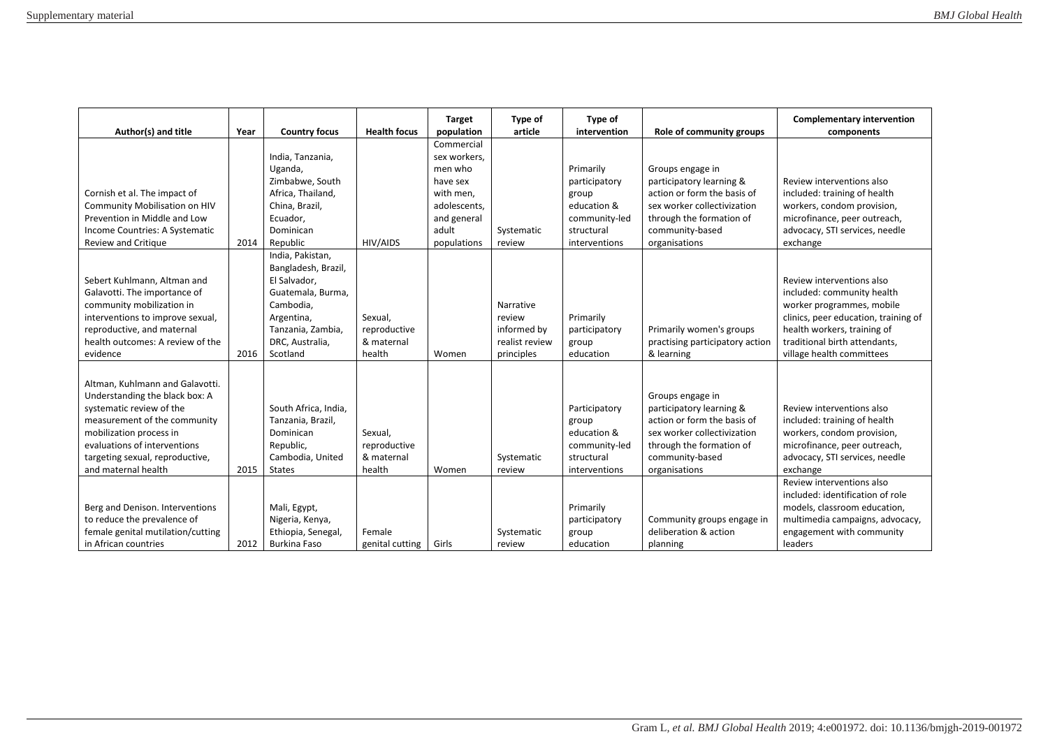| Author(s) and title                                                                                                                                                                                                                                | Year | <b>Country focus</b>                                                                                                                                        | <b>Health focus</b>                             | <b>Target</b><br>population                                                                                           | Type of<br>article                                                 | Type of<br>intervention                                                                            | Role of community groups                                                                                                                                                   | <b>Complementary intervention</b><br>components                                                                                                                                                                                        |
|----------------------------------------------------------------------------------------------------------------------------------------------------------------------------------------------------------------------------------------------------|------|-------------------------------------------------------------------------------------------------------------------------------------------------------------|-------------------------------------------------|-----------------------------------------------------------------------------------------------------------------------|--------------------------------------------------------------------|----------------------------------------------------------------------------------------------------|----------------------------------------------------------------------------------------------------------------------------------------------------------------------------|----------------------------------------------------------------------------------------------------------------------------------------------------------------------------------------------------------------------------------------|
| Cornish et al. The impact of<br>Community Mobilisation on HIV<br>Prevention in Middle and Low<br>Income Countries: A Systematic<br>Review and Critique                                                                                             | 2014 | India, Tanzania,<br>Uganda,<br>Zimbabwe, South<br>Africa, Thailand,<br>China, Brazil,<br>Ecuador,<br>Dominican<br>Republic                                  | HIV/AIDS                                        | Commercial<br>sex workers,<br>men who<br>have sex<br>with men.<br>adolescents,<br>and general<br>adult<br>populations | Systematic<br>review                                               | Primarily<br>participatory<br>group<br>education &<br>community-led<br>structural<br>interventions | Groups engage in<br>participatory learning &<br>action or form the basis of<br>sex worker collectivization<br>through the formation of<br>community-based<br>organisations | Review interventions also<br>included: training of health<br>workers, condom provision,<br>microfinance, peer outreach,<br>advocacy, STI services, needle<br>exchange                                                                  |
| Sebert Kuhlmann, Altman and<br>Galavotti. The importance of<br>community mobilization in<br>interventions to improve sexual,<br>reproductive, and maternal<br>health outcomes: A review of the<br>evidence                                         | 2016 | India, Pakistan,<br>Bangladesh, Brazil,<br>El Salvador,<br>Guatemala, Burma,<br>Cambodia,<br>Argentina,<br>Tanzania, Zambia,<br>DRC, Australia,<br>Scotland | Sexual,<br>reproductive<br>& maternal<br>health | Women                                                                                                                 | Narrative<br>review<br>informed by<br>realist review<br>principles | Primarily<br>participatory<br>group<br>education                                                   | Primarily women's groups<br>practising participatory action<br>& learning                                                                                                  | Review interventions also<br>included: community health<br>worker programmes, mobile<br>clinics, peer education, training of<br>health workers, training of<br>traditional birth attendants,<br>village health committees              |
| Altman, Kuhlmann and Galavotti.<br>Understanding the black box: A<br>systematic review of the<br>measurement of the community<br>mobilization process in<br>evaluations of interventions<br>targeting sexual, reproductive,<br>and maternal health | 2015 | South Africa, India,<br>Tanzania, Brazil,<br>Dominican<br>Republic,<br>Cambodia, United<br><b>States</b>                                                    | Sexual,<br>reproductive<br>& maternal<br>health | Women                                                                                                                 | Systematic<br>review                                               | Participatory<br>group<br>education &<br>community-led<br>structural<br>interventions              | Groups engage in<br>participatory learning &<br>action or form the basis of<br>sex worker collectivization<br>through the formation of<br>community-based<br>organisations | Review interventions also<br>included: training of health<br>workers, condom provision,<br>microfinance, peer outreach,<br>advocacy, STI services, needle<br>exchange<br>Review interventions also<br>included: identification of role |
| Berg and Denison. Interventions<br>to reduce the prevalence of<br>female genital mutilation/cutting<br>in African countries                                                                                                                        | 2012 | Mali, Egypt,<br>Nigeria, Kenya,<br>Ethiopia, Senegal,<br><b>Burkina Faso</b>                                                                                | Female<br>genital cutting                       | Girls                                                                                                                 | Systematic<br>review                                               | Primarily<br>participatory<br>group<br>education                                                   | Community groups engage in<br>deliberation & action<br>planning                                                                                                            | models, classroom education,<br>multimedia campaigns, advocacy,<br>engagement with community<br>leaders                                                                                                                                |